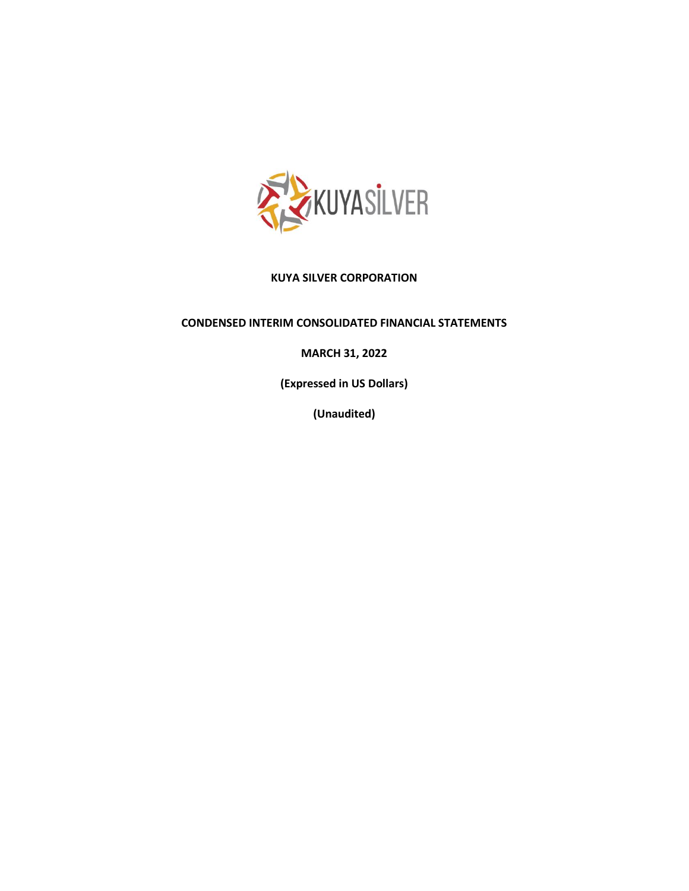

# **KUYA SILVER CORPORATION**

## **CONDENSED INTERIM CONSOLIDATED FINANCIAL STATEMENTS**

# **MARCH 31, 2022**

**(Expressed in US Dollars)**

**(Unaudited)**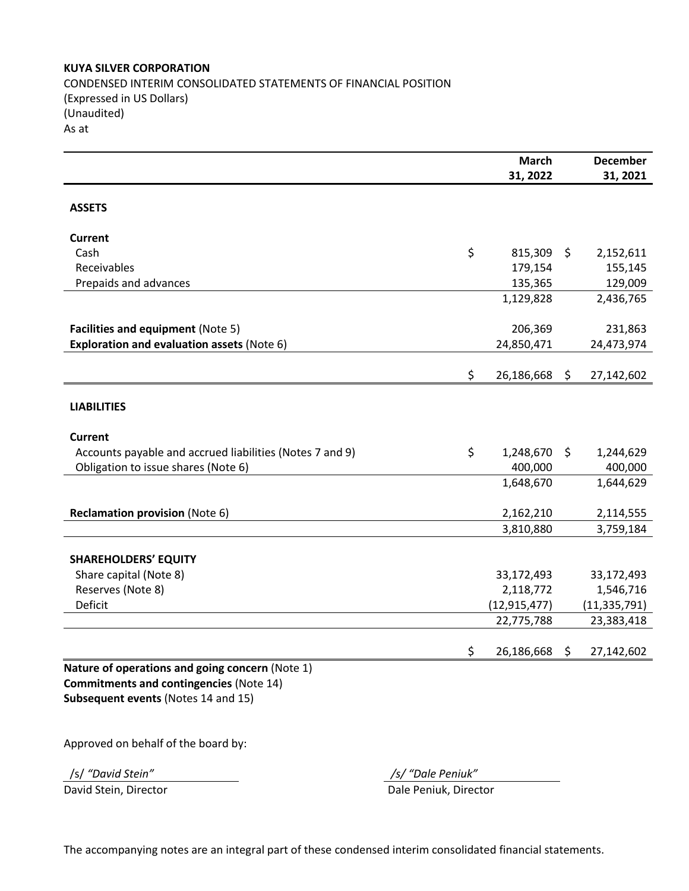## **KUYA SILVER CORPORATION**

CONDENSED INTERIM CONSOLIDATED STATEMENTS OF FINANCIAL POSITION (Expressed in US Dollars) (Unaudited) As at

|                                                          | <b>March</b>     |         | <b>December</b> |
|----------------------------------------------------------|------------------|---------|-----------------|
|                                                          | 31, 2022         |         | 31, 2021        |
| <b>ASSETS</b>                                            |                  |         |                 |
| <b>Current</b>                                           |                  |         |                 |
| Cash                                                     | \$<br>815,309    | $\zeta$ | 2,152,611       |
| Receivables                                              | 179,154          |         | 155,145         |
| Prepaids and advances                                    | 135,365          |         | 129,009         |
|                                                          | 1,129,828        |         | 2,436,765       |
| Facilities and equipment (Note 5)                        | 206,369          |         | 231,863         |
| Exploration and evaluation assets (Note 6)               | 24,850,471       |         | 24,473,974      |
|                                                          |                  |         |                 |
|                                                          | \$<br>26,186,668 | \$      | 27,142,602      |
| <b>LIABILITIES</b>                                       |                  |         |                 |
| <b>Current</b>                                           |                  |         |                 |
| Accounts payable and accrued liabilities (Notes 7 and 9) | \$<br>1,248,670  | \$      | 1,244,629       |
| Obligation to issue shares (Note 6)                      | 400,000          |         | 400,000         |
|                                                          | 1,648,670        |         | 1,644,629       |
| Reclamation provision (Note 6)                           | 2,162,210        |         | 2,114,555       |
|                                                          | 3,810,880        |         | 3,759,184       |
| <b>SHAREHOLDERS' EQUITY</b>                              |                  |         |                 |
| Share capital (Note 8)                                   | 33,172,493       |         | 33,172,493      |
| Reserves (Note 8)                                        | 2,118,772        |         | 1,546,716       |
| Deficit                                                  | (12, 915, 477)   |         | (11, 335, 791)  |
|                                                          | 22,775,788       |         | 23,383,418      |
|                                                          | \$<br>26,186,668 | \$      | 27,142,602      |
| Nature of operations and going concern (Note 1)          |                  |         |                 |
| <b>Commitments and contingencies (Note 14)</b>           |                  |         |                 |
| Subsequent events (Notes 14 and 15)                      |                  |         |                 |

Approved on behalf of the board by:

/s/ *"David Stein" /s/ "Dale Peniuk"*

David Stein, Director **Dale Peniuk, Director** Dale Peniuk, Director

The accompanying notes are an integral part of these condensed interim consolidated financial statements.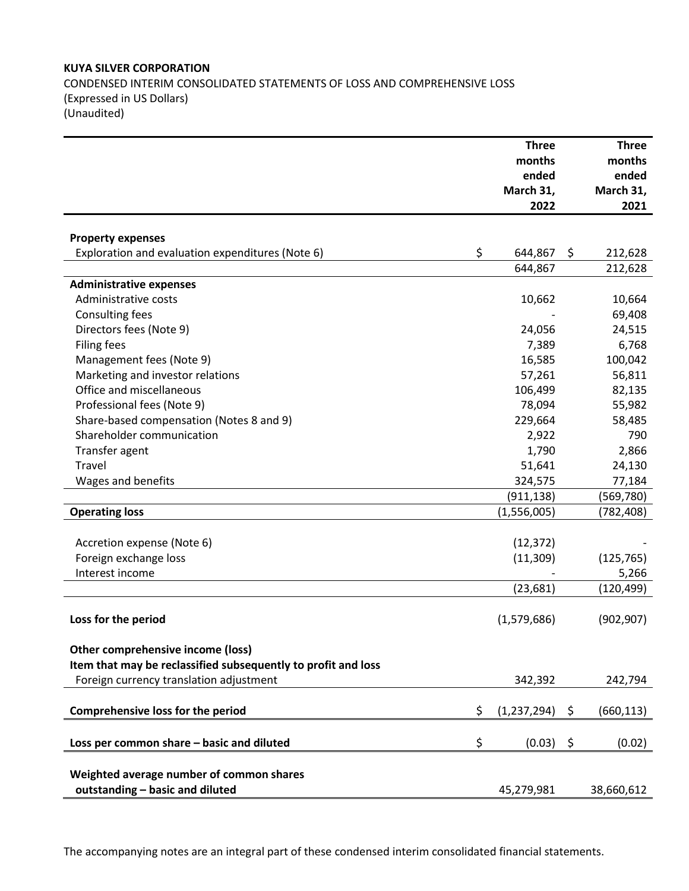# **KUYA SILVER CORPORATION** CONDENSED INTERIM CONSOLIDATED STATEMENTS OF LOSS AND COMPREHENSIVE LOSS (Expressed in US Dollars) (Unaudited)

|                                                               | <b>Three</b>      |     | <b>Three</b>    |
|---------------------------------------------------------------|-------------------|-----|-----------------|
|                                                               | months<br>ended   |     | months<br>ended |
|                                                               | March 31,         |     | March 31,       |
|                                                               | 2022              |     | 2021            |
|                                                               |                   |     |                 |
| <b>Property expenses</b>                                      |                   |     |                 |
| Exploration and evaluation expenditures (Note 6)              | \$<br>644,867     | \$. | 212,628         |
|                                                               | 644,867           |     | 212,628         |
| <b>Administrative expenses</b>                                |                   |     |                 |
| Administrative costs                                          | 10,662            |     | 10,664          |
| Consulting fees                                               |                   |     | 69,408          |
| Directors fees (Note 9)                                       | 24,056            |     | 24,515          |
| <b>Filing fees</b>                                            | 7,389             |     | 6,768           |
| Management fees (Note 9)                                      | 16,585            |     | 100,042         |
| Marketing and investor relations                              | 57,261            |     | 56,811          |
| Office and miscellaneous                                      | 106,499           |     | 82,135          |
| Professional fees (Note 9)                                    | 78,094            |     | 55,982          |
| Share-based compensation (Notes 8 and 9)                      | 229,664           |     | 58,485          |
| Shareholder communication                                     | 2,922             |     | 790             |
| Transfer agent                                                | 1,790             |     | 2,866           |
| Travel                                                        | 51,641            |     | 24,130          |
| Wages and benefits                                            | 324,575           |     | 77,184          |
|                                                               | (911, 138)        |     | (569, 780)      |
| <b>Operating loss</b>                                         | (1,556,005)       |     | (782, 408)      |
|                                                               |                   |     |                 |
| Accretion expense (Note 6)                                    | (12, 372)         |     |                 |
| Foreign exchange loss                                         | (11, 309)         |     | (125, 765)      |
| Interest income                                               |                   |     | 5,266           |
|                                                               | (23, 681)         |     | (120, 499)      |
|                                                               |                   |     |                 |
| Loss for the period                                           | (1,579,686)       |     | (902, 907)      |
|                                                               |                   |     |                 |
| Other comprehensive income (loss)                             |                   |     |                 |
| Item that may be reclassified subsequently to profit and loss |                   |     |                 |
| Foreign currency translation adjustment                       | 342,392           |     | 242,794         |
|                                                               |                   |     |                 |
| <b>Comprehensive loss for the period</b>                      | \$<br>(1,237,294) | \$  | (660, 113)      |
|                                                               |                   |     |                 |
| Loss per common share - basic and diluted                     | \$<br>$(0.03)$ \$ |     | (0.02)          |
|                                                               |                   |     |                 |
| Weighted average number of common shares                      |                   |     |                 |
| outstanding - basic and diluted                               | 45,279,981        |     | 38,660,612      |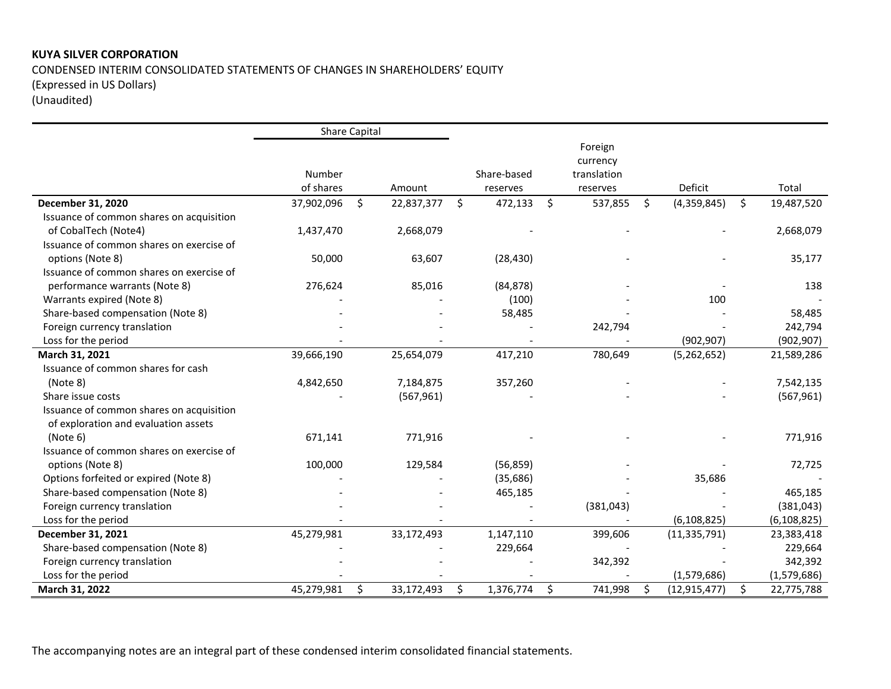# **KUYA SILVER CORPORATION**  CONDENSED INTERIM CONSOLIDATED STATEMENTS OF CHANGES IN SHAREHOLDERS' EQUITY (Expressed in US Dollars) (Unaudited)

|                                          |            | Share Capital |            |    |             |    |             |    |                |    |               |
|------------------------------------------|------------|---------------|------------|----|-------------|----|-------------|----|----------------|----|---------------|
|                                          |            |               |            |    |             |    | Foreign     |    |                |    |               |
|                                          |            |               |            |    |             |    | currency    |    |                |    |               |
|                                          | Number     |               |            |    | Share-based |    | translation |    |                |    |               |
|                                          | of shares  |               | Amount     |    | reserves    |    | reserves    |    | Deficit        |    | Total         |
| December 31, 2020                        | 37,902,096 | Ŝ.            | 22,837,377 | Ŝ. | 472,133     | \$ | 537,855     | \$ | (4,359,845)    | Ŝ. | 19,487,520    |
| Issuance of common shares on acquisition |            |               |            |    |             |    |             |    |                |    |               |
| of CobalTech (Note4)                     | 1,437,470  |               | 2,668,079  |    |             |    |             |    |                |    | 2,668,079     |
| Issuance of common shares on exercise of |            |               |            |    |             |    |             |    |                |    |               |
| options (Note 8)                         | 50,000     |               | 63,607     |    | (28, 430)   |    |             |    |                |    | 35,177        |
| Issuance of common shares on exercise of |            |               |            |    |             |    |             |    |                |    |               |
| performance warrants (Note 8)            | 276,624    |               | 85,016     |    | (84, 878)   |    |             |    |                |    | 138           |
| Warrants expired (Note 8)                |            |               |            |    | (100)       |    |             |    | 100            |    |               |
| Share-based compensation (Note 8)        |            |               |            |    | 58,485      |    |             |    |                |    | 58,485        |
| Foreign currency translation             |            |               |            |    |             |    | 242,794     |    |                |    | 242,794       |
| Loss for the period                      |            |               |            |    |             |    |             |    | (902, 907)     |    | (902, 907)    |
| March 31, 2021                           | 39,666,190 |               | 25,654,079 |    | 417,210     |    | 780,649     |    | (5,262,652)    |    | 21,589,286    |
| Issuance of common shares for cash       |            |               |            |    |             |    |             |    |                |    |               |
| (Note 8)                                 | 4,842,650  |               | 7,184,875  |    | 357,260     |    |             |    |                |    | 7,542,135     |
| Share issue costs                        |            |               | (567, 961) |    |             |    |             |    |                |    | (567, 961)    |
| Issuance of common shares on acquisition |            |               |            |    |             |    |             |    |                |    |               |
| of exploration and evaluation assets     |            |               |            |    |             |    |             |    |                |    |               |
| (Note 6)                                 | 671,141    |               | 771,916    |    |             |    |             |    |                |    | 771,916       |
| Issuance of common shares on exercise of |            |               |            |    |             |    |             |    |                |    |               |
| options (Note 8)                         | 100,000    |               | 129,584    |    | (56, 859)   |    |             |    |                |    | 72,725        |
| Options forfeited or expired (Note 8)    |            |               |            |    | (35, 686)   |    |             |    | 35,686         |    |               |
| Share-based compensation (Note 8)        |            |               |            |    | 465,185     |    |             |    |                |    | 465,185       |
| Foreign currency translation             |            |               |            |    |             |    | (381, 043)  |    |                |    | (381, 043)    |
| Loss for the period                      |            |               |            |    |             |    |             |    | (6, 108, 825)  |    | (6, 108, 825) |
| December 31, 2021                        | 45,279,981 |               | 33,172,493 |    | 1,147,110   |    | 399,606     |    | (11, 335, 791) |    | 23,383,418    |
| Share-based compensation (Note 8)        |            |               |            |    | 229,664     |    |             |    |                |    | 229,664       |
| Foreign currency translation             |            |               |            |    |             |    | 342,392     |    |                |    | 342,392       |
| Loss for the period                      |            |               |            |    |             |    |             |    | (1,579,686)    |    | (1,579,686)   |
| March 31, 2022                           | 45,279,981 | \$            | 33,172,493 | \$ | 1,376,774   | S. | 741,998     | Ŝ. | (12, 915, 477) | \$ | 22,775,788    |

The accompanying notes are an integral part of these condensed interim consolidated financial statements.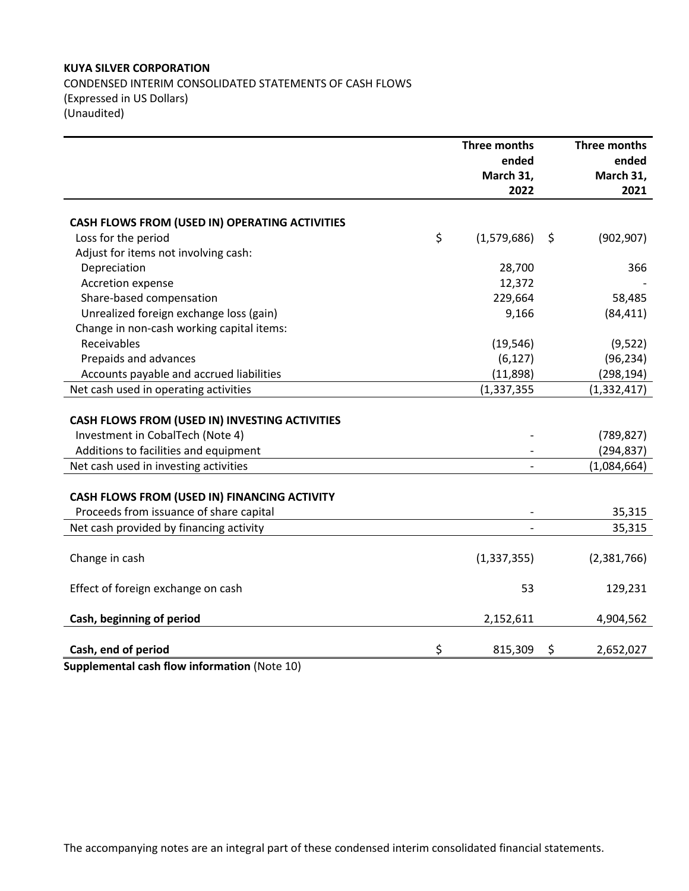## **KUYA SILVER CORPORATION**

CONDENSED INTERIM CONSOLIDATED STATEMENTS OF CASH FLOWS (Expressed in US Dollars) (Unaudited)

|                                                       | <b>Three months</b> | Three months     |
|-------------------------------------------------------|---------------------|------------------|
|                                                       | ended               | ended            |
|                                                       | March 31,           | March 31,        |
|                                                       | 2022                | 2021             |
|                                                       |                     |                  |
| CASH FLOWS FROM (USED IN) OPERATING ACTIVITIES        |                     |                  |
| Loss for the period                                   | \$<br>(1,579,686)   | \$<br>(902, 907) |
| Adjust for items not involving cash:                  |                     |                  |
| Depreciation                                          | 28,700              | 366              |
| Accretion expense                                     | 12,372              |                  |
| Share-based compensation                              | 229,664             | 58,485           |
| Unrealized foreign exchange loss (gain)               | 9,166               | (84, 411)        |
| Change in non-cash working capital items:             |                     |                  |
| Receivables                                           | (19, 546)           | (9,522)          |
| Prepaids and advances                                 | (6, 127)            | (96, 234)        |
| Accounts payable and accrued liabilities              | (11,898)            | (298, 194)       |
| Net cash used in operating activities                 | (1, 337, 355)       | (1,332,417)      |
|                                                       |                     |                  |
| <b>CASH FLOWS FROM (USED IN) INVESTING ACTIVITIES</b> |                     |                  |
| Investment in CobalTech (Note 4)                      |                     | (789, 827)       |
| Additions to facilities and equipment                 |                     | (294, 837)       |
| Net cash used in investing activities                 |                     | (1,084,664)      |
|                                                       |                     |                  |
| CASH FLOWS FROM (USED IN) FINANCING ACTIVITY          |                     |                  |
| Proceeds from issuance of share capital               |                     | 35,315           |
| Net cash provided by financing activity               |                     | 35,315           |
|                                                       |                     |                  |
| Change in cash                                        | (1, 337, 355)       | (2,381,766)      |
|                                                       |                     |                  |
| Effect of foreign exchange on cash                    | 53                  | 129,231          |
|                                                       |                     |                  |
| Cash, beginning of period                             | 2,152,611           | 4,904,562        |
|                                                       |                     |                  |
| Cash, end of period                                   | \$<br>815,309       | \$<br>2,652,027  |

**Supplemental cash flow information** (Note 10)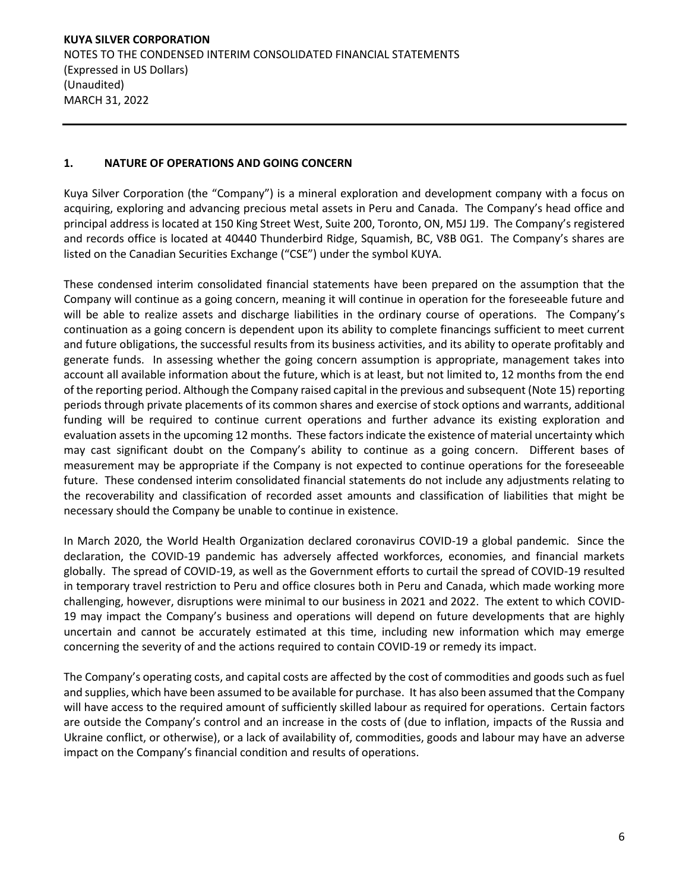# **1. NATURE OF OPERATIONS AND GOING CONCERN**

Kuya Silver Corporation (the "Company") is a mineral exploration and development company with a focus on acquiring, exploring and advancing precious metal assets in Peru and Canada. The Company's head office and principal address is located at 150 King Street West, Suite 200, Toronto, ON, M5J 1J9. The Company's registered and records office is located at 40440 Thunderbird Ridge, Squamish, BC, V8B 0G1. The Company's shares are listed on the Canadian Securities Exchange ("CSE") under the symbol KUYA.

These condensed interim consolidated financial statements have been prepared on the assumption that the Company will continue as a going concern, meaning it will continue in operation for the foreseeable future and will be able to realize assets and discharge liabilities in the ordinary course of operations. The Company's continuation as a going concern is dependent upon its ability to complete financings sufficient to meet current and future obligations, the successful results from its business activities, and its ability to operate profitably and generate funds. In assessing whether the going concern assumption is appropriate, management takes into account all available information about the future, which is at least, but not limited to, 12 months from the end of the reporting period. Although the Company raised capital in the previous and subsequent (Note 15) reporting periods through private placements of its common shares and exercise of stock options and warrants, additional funding will be required to continue current operations and further advance its existing exploration and evaluation assets in the upcoming 12 months. These factors indicate the existence of material uncertainty which may cast significant doubt on the Company's ability to continue as a going concern. Different bases of measurement may be appropriate if the Company is not expected to continue operations for the foreseeable future. These condensed interim consolidated financial statements do not include any adjustments relating to the recoverability and classification of recorded asset amounts and classification of liabilities that might be necessary should the Company be unable to continue in existence.

In March 2020, the World Health Organization declared coronavirus COVID-19 a global pandemic. Since the declaration, the COVID-19 pandemic has adversely affected workforces, economies, and financial markets globally. The spread of COVID-19, as well as the Government efforts to curtail the spread of COVID-19 resulted in temporary travel restriction to Peru and office closures both in Peru and Canada, which made working more challenging, however, disruptions were minimal to our business in 2021 and 2022. The extent to which COVID-19 may impact the Company's business and operations will depend on future developments that are highly uncertain and cannot be accurately estimated at this time, including new information which may emerge concerning the severity of and the actions required to contain COVID-19 or remedy its impact.

The Company's operating costs, and capital costs are affected by the cost of commodities and goods such as fuel and supplies, which have been assumed to be available for purchase. It has also been assumed that the Company will have access to the required amount of sufficiently skilled labour as required for operations. Certain factors are outside the Company's control and an increase in the costs of (due to inflation, impacts of the Russia and Ukraine conflict, or otherwise), or a lack of availability of, commodities, goods and labour may have an adverse impact on the Company's financial condition and results of operations.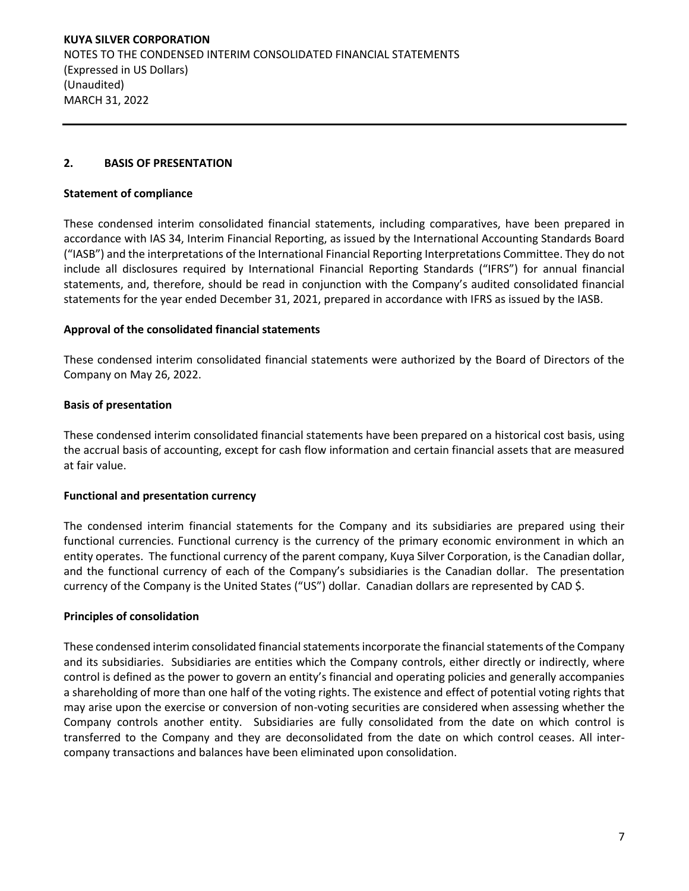#### **2. BASIS OF PRESENTATION**

#### **Statement of compliance**

These condensed interim consolidated financial statements, including comparatives, have been prepared in accordance with IAS 34, Interim Financial Reporting, as issued by the International Accounting Standards Board ("IASB") and the interpretations of the International Financial Reporting Interpretations Committee. They do not include all disclosures required by International Financial Reporting Standards ("IFRS") for annual financial statements, and, therefore, should be read in conjunction with the Company's audited consolidated financial statements for the year ended December 31, 2021, prepared in accordance with IFRS as issued by the IASB.

#### **Approval of the consolidated financial statements**

These condensed interim consolidated financial statements were authorized by the Board of Directors of the Company on May 26, 2022.

## **Basis of presentation**

These condensed interim consolidated financial statements have been prepared on a historical cost basis, using the accrual basis of accounting, except for cash flow information and certain financial assets that are measured at fair value.

## **Functional and presentation currency**

The condensed interim financial statements for the Company and its subsidiaries are prepared using their functional currencies. Functional currency is the currency of the primary economic environment in which an entity operates. The functional currency of the parent company, Kuya Silver Corporation, is the Canadian dollar, and the functional currency of each of the Company's subsidiaries is the Canadian dollar. The presentation currency of the Company is the United States ("US") dollar. Canadian dollars are represented by CAD \$.

## **Principles of consolidation**

These condensed interim consolidated financial statements incorporate the financial statements of the Company and its subsidiaries. Subsidiaries are entities which the Company controls, either directly or indirectly, where control is defined as the power to govern an entity's financial and operating policies and generally accompanies a shareholding of more than one half of the voting rights. The existence and effect of potential voting rights that may arise upon the exercise or conversion of non-voting securities are considered when assessing whether the Company controls another entity. Subsidiaries are fully consolidated from the date on which control is transferred to the Company and they are deconsolidated from the date on which control ceases. All intercompany transactions and balances have been eliminated upon consolidation.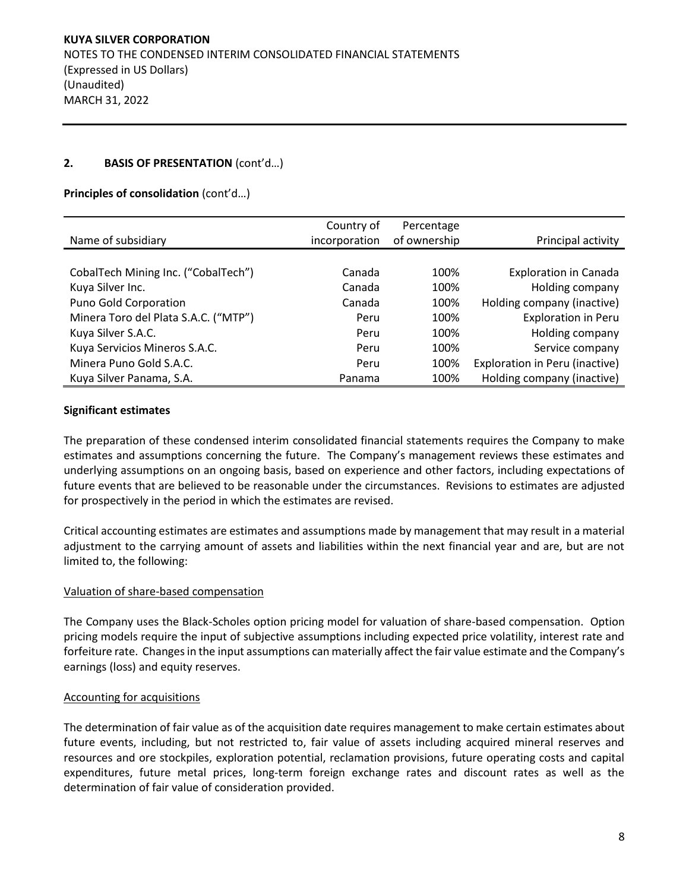#### **2. BASIS OF PRESENTATION** (cont'd…)

#### **Principles of consolidation** (cont'd…)

|                                      | Country of    | Percentage   |                                |
|--------------------------------------|---------------|--------------|--------------------------------|
| Name of subsidiary                   | incorporation | of ownership | Principal activity             |
|                                      |               |              |                                |
| CobalTech Mining Inc. ("CobalTech")  | Canada        | 100%         | <b>Exploration in Canada</b>   |
| Kuya Silver Inc.                     | Canada        | 100%         | Holding company                |
| Puno Gold Corporation                | Canada        | 100%         | Holding company (inactive)     |
| Minera Toro del Plata S.A.C. ("MTP") | Peru          | 100%         | <b>Exploration in Peru</b>     |
| Kuya Silver S.A.C.                   | Peru          | 100%         | Holding company                |
| Kuya Servicios Mineros S.A.C.        | Peru          | 100%         | Service company                |
| Minera Puno Gold S.A.C.              | Peru          | 100%         | Exploration in Peru (inactive) |
| Kuya Silver Panama, S.A.             | Panama        | 100%         | Holding company (inactive)     |

#### **Significant estimates**

The preparation of these condensed interim consolidated financial statements requires the Company to make estimates and assumptions concerning the future. The Company's management reviews these estimates and underlying assumptions on an ongoing basis, based on experience and other factors, including expectations of future events that are believed to be reasonable under the circumstances. Revisions to estimates are adjusted for prospectively in the period in which the estimates are revised.

Critical accounting estimates are estimates and assumptions made by management that may result in a material adjustment to the carrying amount of assets and liabilities within the next financial year and are, but are not limited to, the following:

#### Valuation of share-based compensation

The Company uses the Black-Scholes option pricing model for valuation of share-based compensation. Option pricing models require the input of subjective assumptions including expected price volatility, interest rate and forfeiture rate. Changes in the input assumptions can materially affect the fair value estimate and the Company's earnings (loss) and equity reserves.

#### Accounting for acquisitions

The determination of fair value as of the acquisition date requires management to make certain estimates about future events, including, but not restricted to, fair value of assets including acquired mineral reserves and resources and ore stockpiles, exploration potential, reclamation provisions, future operating costs and capital expenditures, future metal prices, long-term foreign exchange rates and discount rates as well as the determination of fair value of consideration provided.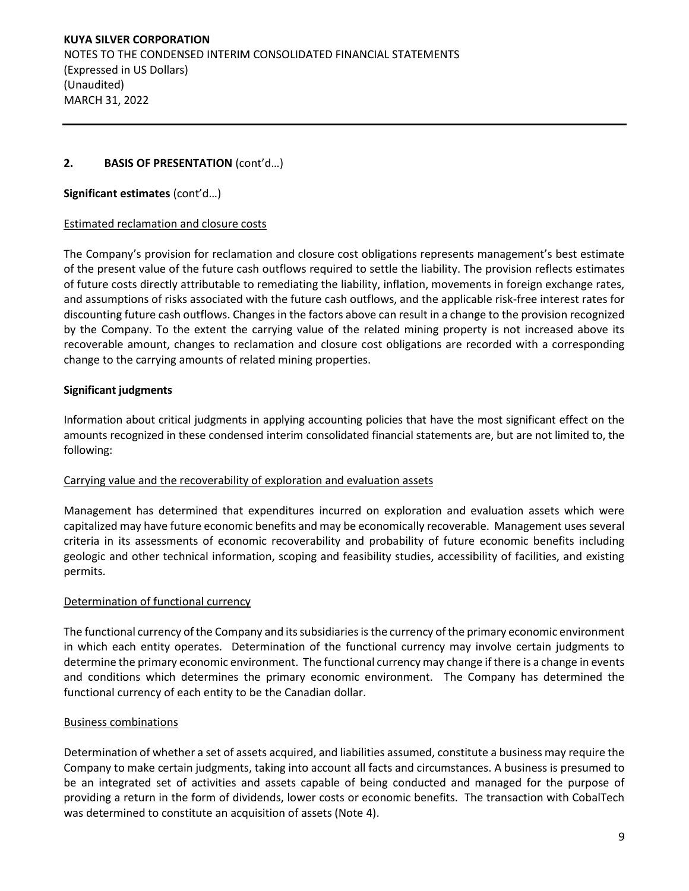## **2. BASIS OF PRESENTATION** (cont'd…)

## **Significant estimates** (cont'd…)

#### Estimated reclamation and closure costs

The Company's provision for reclamation and closure cost obligations represents management's best estimate of the present value of the future cash outflows required to settle the liability. The provision reflects estimates of future costs directly attributable to remediating the liability, inflation, movements in foreign exchange rates, and assumptions of risks associated with the future cash outflows, and the applicable risk-free interest rates for discounting future cash outflows. Changes in the factors above can result in a change to the provision recognized by the Company. To the extent the carrying value of the related mining property is not increased above its recoverable amount, changes to reclamation and closure cost obligations are recorded with a corresponding change to the carrying amounts of related mining properties.

## **Significant judgments**

Information about critical judgments in applying accounting policies that have the most significant effect on the amounts recognized in these condensed interim consolidated financial statements are, but are not limited to, the following:

## Carrying value and the recoverability of exploration and evaluation assets

Management has determined that expenditures incurred on exploration and evaluation assets which were capitalized may have future economic benefits and may be economically recoverable. Management uses several criteria in its assessments of economic recoverability and probability of future economic benefits including geologic and other technical information, scoping and feasibility studies, accessibility of facilities, and existing permits.

## Determination of functional currency

The functional currency of the Company and its subsidiaries is the currency of the primary economic environment in which each entity operates. Determination of the functional currency may involve certain judgments to determine the primary economic environment. The functional currency may change if there is a change in events and conditions which determines the primary economic environment. The Company has determined the functional currency of each entity to be the Canadian dollar.

## Business combinations

Determination of whether a set of assets acquired, and liabilities assumed, constitute a business may require the Company to make certain judgments, taking into account all facts and circumstances. A business is presumed to be an integrated set of activities and assets capable of being conducted and managed for the purpose of providing a return in the form of dividends, lower costs or economic benefits. The transaction with CobalTech was determined to constitute an acquisition of assets (Note 4).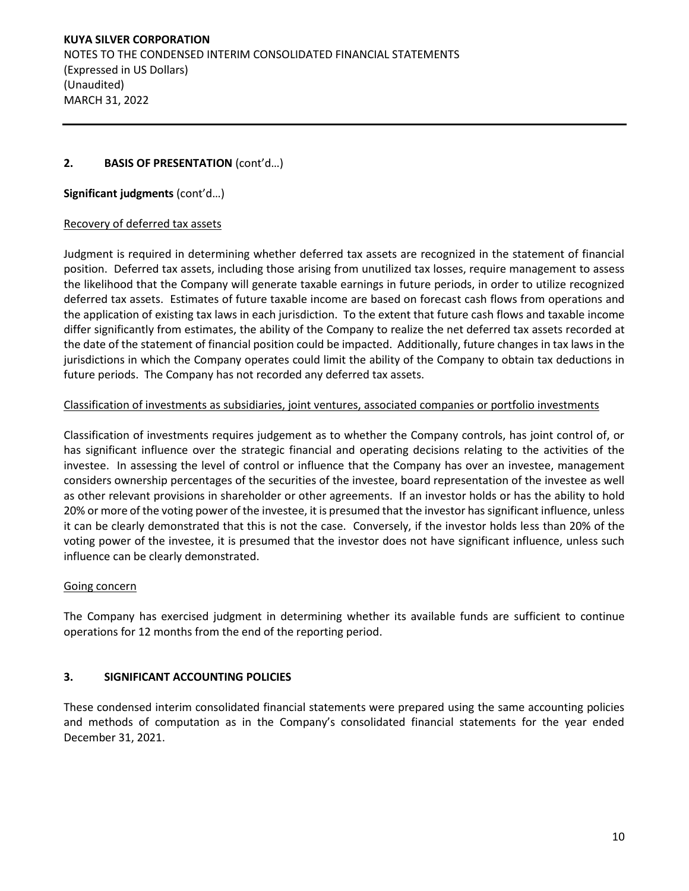# **2. BASIS OF PRESENTATION** (cont'd…)

## **Significant judgments** (cont'd…)

## Recovery of deferred tax assets

Judgment is required in determining whether deferred tax assets are recognized in the statement of financial position. Deferred tax assets, including those arising from unutilized tax losses, require management to assess the likelihood that the Company will generate taxable earnings in future periods, in order to utilize recognized deferred tax assets. Estimates of future taxable income are based on forecast cash flows from operations and the application of existing tax laws in each jurisdiction. To the extent that future cash flows and taxable income differ significantly from estimates, the ability of the Company to realize the net deferred tax assets recorded at the date of the statement of financial position could be impacted. Additionally, future changes in tax laws in the jurisdictions in which the Company operates could limit the ability of the Company to obtain tax deductions in future periods. The Company has not recorded any deferred tax assets.

# Classification of investments as subsidiaries, joint ventures, associated companies or portfolio investments

Classification of investments requires judgement as to whether the Company controls, has joint control of, or has significant influence over the strategic financial and operating decisions relating to the activities of the investee. In assessing the level of control or influence that the Company has over an investee, management considers ownership percentages of the securities of the investee, board representation of the investee as well as other relevant provisions in shareholder or other agreements. If an investor holds or has the ability to hold 20% or more of the voting power of the investee, it is presumed that the investor has significant influence, unless it can be clearly demonstrated that this is not the case. Conversely, if the investor holds less than 20% of the voting power of the investee, it is presumed that the investor does not have significant influence, unless such influence can be clearly demonstrated.

## Going concern

The Company has exercised judgment in determining whether its available funds are sufficient to continue operations for 12 months from the end of the reporting period.

# **3. SIGNIFICANT ACCOUNTING POLICIES**

These condensed interim consolidated financial statements were prepared using the same accounting policies and methods of computation as in the Company's consolidated financial statements for the year ended December 31, 2021.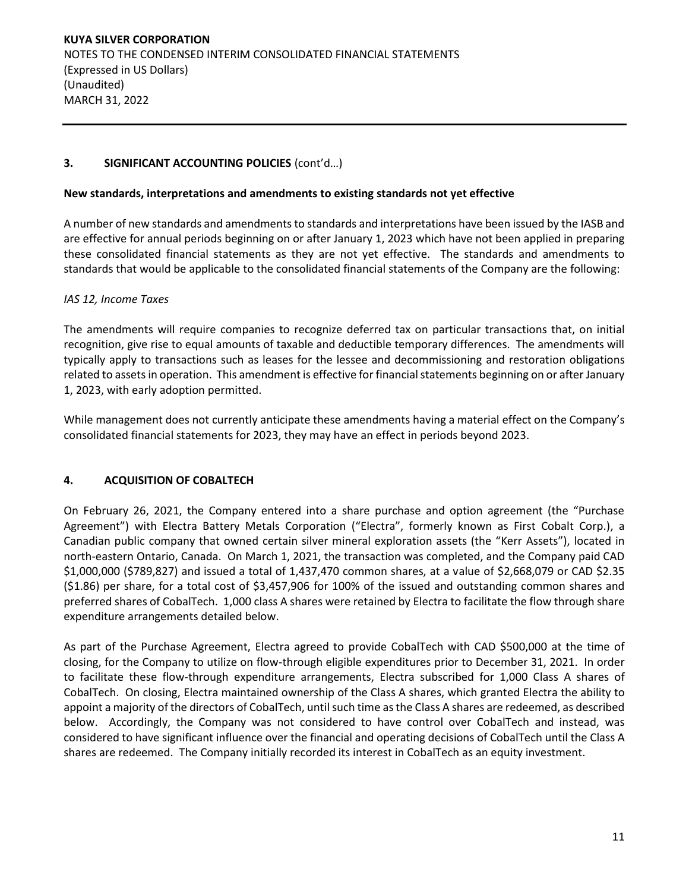# **3. SIGNIFICANT ACCOUNTING POLICIES** (cont'd…)

#### **New standards, interpretations and amendments to existing standards not yet effective**

A number of new standards and amendments to standards and interpretations have been issued by the IASB and are effective for annual periods beginning on or after January 1, 2023 which have not been applied in preparing these consolidated financial statements as they are not yet effective. The standards and amendments to standards that would be applicable to the consolidated financial statements of the Company are the following:

## *IAS 12, Income Taxes*

The amendments will require companies to recognize deferred tax on particular transactions that, on initial recognition, give rise to equal amounts of taxable and deductible temporary differences. The amendments will typically apply to transactions such as leases for the lessee and decommissioning and restoration obligations related to assets in operation. This amendment is effective for financial statements beginning on or after January 1, 2023, with early adoption permitted.

While management does not currently anticipate these amendments having a material effect on the Company's consolidated financial statements for 2023, they may have an effect in periods beyond 2023.

## **4. ACQUISITION OF COBALTECH**

On February 26, 2021, the Company entered into a share purchase and option agreement (the "Purchase Agreement") with Electra Battery Metals Corporation ("Electra", formerly known as First Cobalt Corp.), a Canadian public company that owned certain silver mineral exploration assets (the "Kerr Assets"), located in north-eastern Ontario, Canada. On March 1, 2021, the transaction was completed, and the Company paid CAD \$1,000,000 (\$789,827) and issued a total of 1,437,470 common shares, at a value of \$2,668,079 or CAD \$2.35 (\$1.86) per share, for a total cost of \$3,457,906 for 100% of the issued and outstanding common shares and preferred shares of CobalTech. 1,000 class A shares were retained by Electra to facilitate the flow through share expenditure arrangements detailed below.

As part of the Purchase Agreement, Electra agreed to provide CobalTech with CAD \$500,000 at the time of closing, for the Company to utilize on flow-through eligible expenditures prior to December 31, 2021. In order to facilitate these flow-through expenditure arrangements, Electra subscribed for 1,000 Class A shares of CobalTech. On closing, Electra maintained ownership of the Class A shares, which granted Electra the ability to appoint a majority of the directors of CobalTech, until such time as the Class A shares are redeemed, as described below. Accordingly, the Company was not considered to have control over CobalTech and instead, was considered to have significant influence over the financial and operating decisions of CobalTech until the Class A shares are redeemed. The Company initially recorded its interest in CobalTech as an equity investment.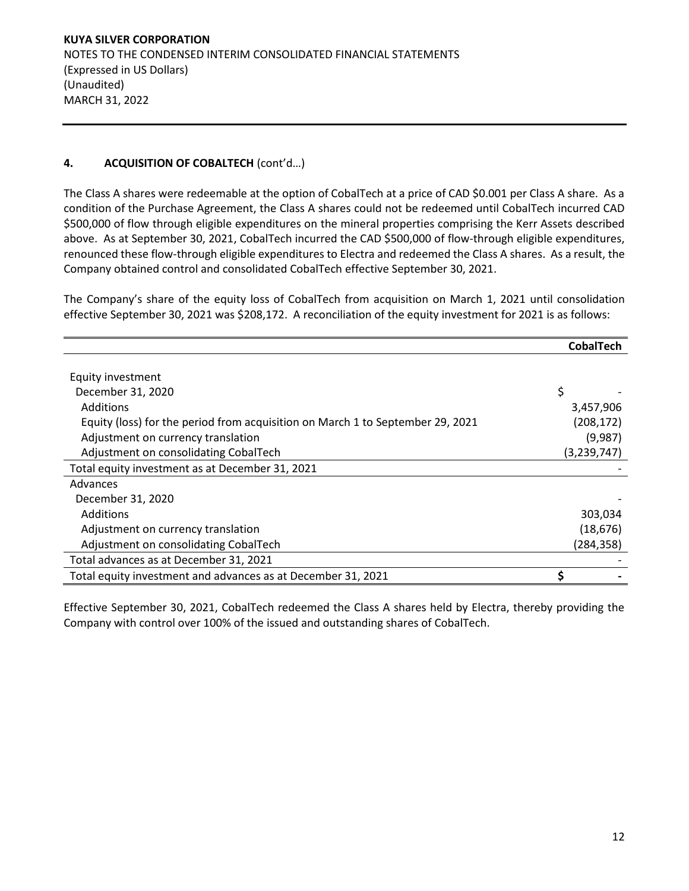# **4. ACQUISITION OF COBALTECH** (cont'd…)

The Class A shares were redeemable at the option of CobalTech at a price of CAD \$0.001 per Class A share. As a condition of the Purchase Agreement, the Class A shares could not be redeemed until CobalTech incurred CAD \$500,000 of flow through eligible expenditures on the mineral properties comprising the Kerr Assets described above. As at September 30, 2021, CobalTech incurred the CAD \$500,000 of flow-through eligible expenditures, renounced these flow-through eligible expenditures to Electra and redeemed the Class A shares. As a result, the Company obtained control and consolidated CobalTech effective September 30, 2021.

The Company's share of the equity loss of CobalTech from acquisition on March 1, 2021 until consolidation effective September 30, 2021 was \$208,172. A reconciliation of the equity investment for 2021 is as follows:

|                                                                                | <b>CobalTech</b> |
|--------------------------------------------------------------------------------|------------------|
|                                                                                |                  |
| Equity investment                                                              |                  |
| December 31, 2020                                                              | \$               |
| <b>Additions</b>                                                               | 3,457,906        |
| Equity (loss) for the period from acquisition on March 1 to September 29, 2021 | (208, 172)       |
| Adjustment on currency translation                                             | (9,987)          |
| Adjustment on consolidating CobalTech                                          | (3,239,747)      |
| Total equity investment as at December 31, 2021                                |                  |
| Advances                                                                       |                  |
| December 31, 2020                                                              |                  |
| <b>Additions</b>                                                               | 303,034          |
| Adjustment on currency translation                                             | (18, 676)        |
| Adjustment on consolidating CobalTech                                          | (284, 358)       |
| Total advances as at December 31, 2021                                         |                  |
| Total equity investment and advances as at December 31, 2021                   |                  |

Effective September 30, 2021, CobalTech redeemed the Class A shares held by Electra, thereby providing the Company with control over 100% of the issued and outstanding shares of CobalTech.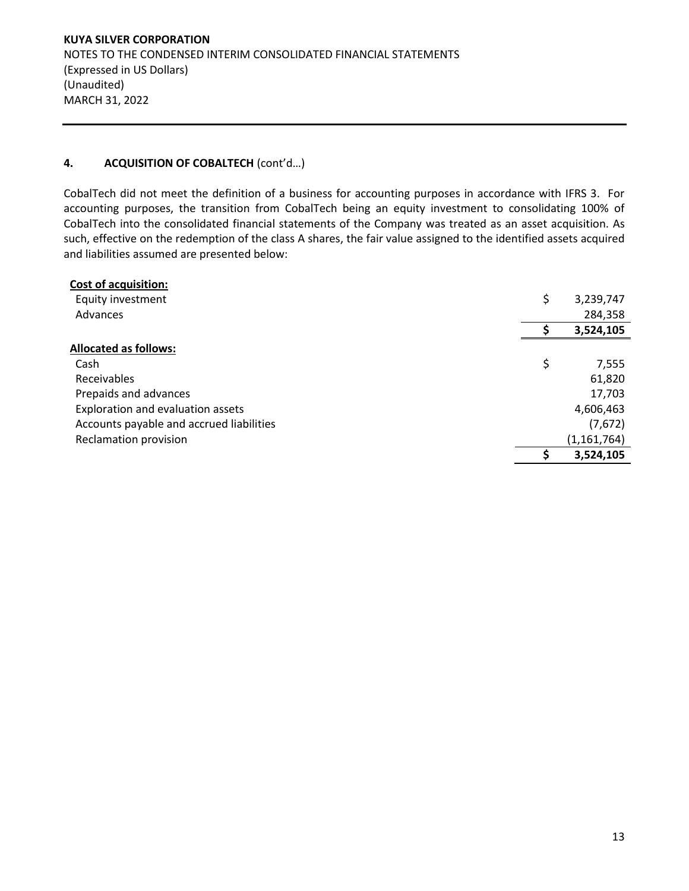## **4. ACQUISITION OF COBALTECH** (cont'd…)

CobalTech did not meet the definition of a business for accounting purposes in accordance with IFRS 3. For accounting purposes, the transition from CobalTech being an equity investment to consolidating 100% of CobalTech into the consolidated financial statements of the Company was treated as an asset acquisition. As such, effective on the redemption of the class A shares, the fair value assigned to the identified assets acquired and liabilities assumed are presented below:

| <b>Cost of acquisition:</b>              |    |               |
|------------------------------------------|----|---------------|
| Equity investment                        | \$ | 3,239,747     |
| Advances                                 |    | 284,358       |
|                                          |    | 3,524,105     |
| <b>Allocated as follows:</b>             |    |               |
| Cash                                     | \$ | 7,555         |
| Receivables                              |    | 61,820        |
| Prepaids and advances                    |    | 17,703        |
| Exploration and evaluation assets        |    | 4,606,463     |
| Accounts payable and accrued liabilities |    | (7,672)       |
| Reclamation provision                    |    | (1, 161, 764) |
|                                          | Ś  | 3,524,105     |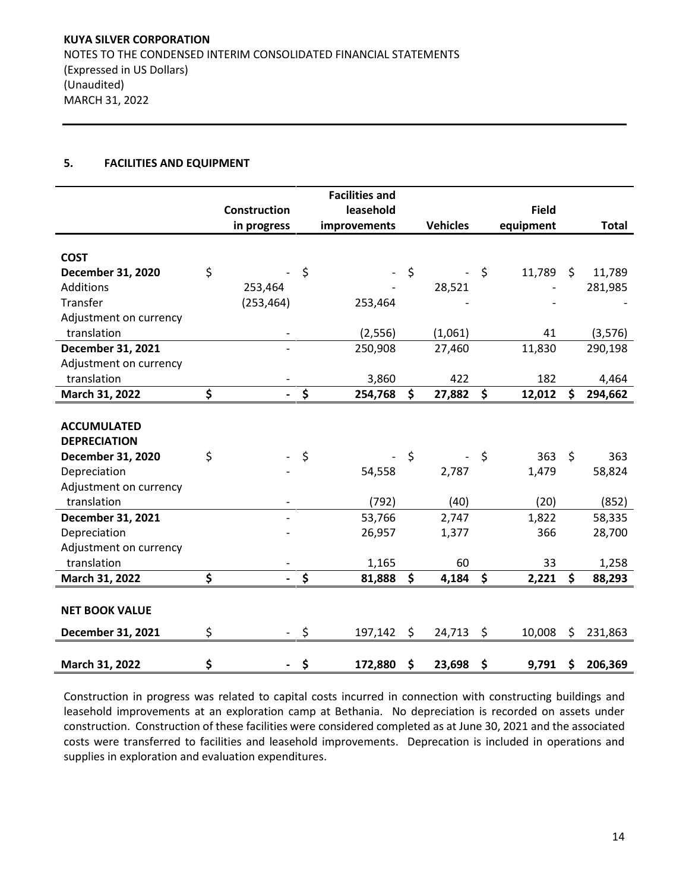## **5. FACILITIES AND EQUIPMENT**

|                        |                     |         | <b>Facilities and</b> |                 |              |               |
|------------------------|---------------------|---------|-----------------------|-----------------|--------------|---------------|
|                        | <b>Construction</b> |         | leasehold             |                 | <b>Field</b> |               |
|                        | in progress         |         | improvements          | <b>Vehicles</b> | equipment    | <b>Total</b>  |
|                        |                     |         |                       |                 |              |               |
| <b>COST</b>            |                     |         |                       |                 |              |               |
| December 31, 2020      | \$                  | \$      |                       | \$              | \$<br>11,789 | \$<br>11,789  |
| Additions              | 253,464             |         |                       | 28,521          |              | 281,985       |
| Transfer               | (253, 464)          |         | 253,464               |                 |              |               |
| Adjustment on currency |                     |         |                       |                 |              |               |
| translation            |                     |         | (2, 556)              | (1,061)         | 41           | (3, 576)      |
| December 31, 2021      |                     |         | 250,908               | 27,460          | 11,830       | 290,198       |
| Adjustment on currency |                     |         |                       |                 |              |               |
| translation            |                     |         | 3,860                 | 422             | 182          | 4,464         |
| March 31, 2022         | \$                  | \$      | 254,768               | \$<br>27,882    | \$<br>12,012 | \$<br>294,662 |
|                        |                     |         |                       |                 |              |               |
| <b>ACCUMULATED</b>     |                     |         |                       |                 |              |               |
| <b>DEPRECIATION</b>    |                     |         |                       |                 |              |               |
| December 31, 2020      | \$                  | \$      |                       | \$              | \$<br>363    | \$<br>363     |
| Depreciation           |                     |         | 54,558                | 2,787           | 1,479        | 58,824        |
| Adjustment on currency |                     |         |                       |                 |              |               |
| translation            |                     |         | (792)                 | (40)            | (20)         | (852)         |
| December 31, 2021      |                     |         | 53,766                | 2,747           | 1,822        | 58,335        |
| Depreciation           |                     |         | 26,957                | 1,377           | 366          | 28,700        |
| Adjustment on currency |                     |         |                       |                 |              |               |
| translation            |                     |         | 1,165                 | 60              | 33           | 1,258         |
| March 31, 2022         | \$                  | \$      | 81,888                | \$<br>4,184     | \$<br>2,221  | \$<br>88,293  |
|                        |                     |         |                       |                 |              |               |
| <b>NET BOOK VALUE</b>  |                     |         |                       |                 |              |               |
| December 31, 2021      | \$                  | $\zeta$ | 197,142               | \$<br>24,713    | \$<br>10,008 | \$<br>231,863 |
|                        |                     |         |                       |                 |              |               |
| March 31, 2022         | \$                  | \$      | 172,880               | \$<br>23,698    | \$<br>9,791  | \$<br>206,369 |

Construction in progress was related to capital costs incurred in connection with constructing buildings and leasehold improvements at an exploration camp at Bethania. No depreciation is recorded on assets under construction. Construction of these facilities were considered completed as at June 30, 2021 and the associated costs were transferred to facilities and leasehold improvements. Deprecation is included in operations and supplies in exploration and evaluation expenditures.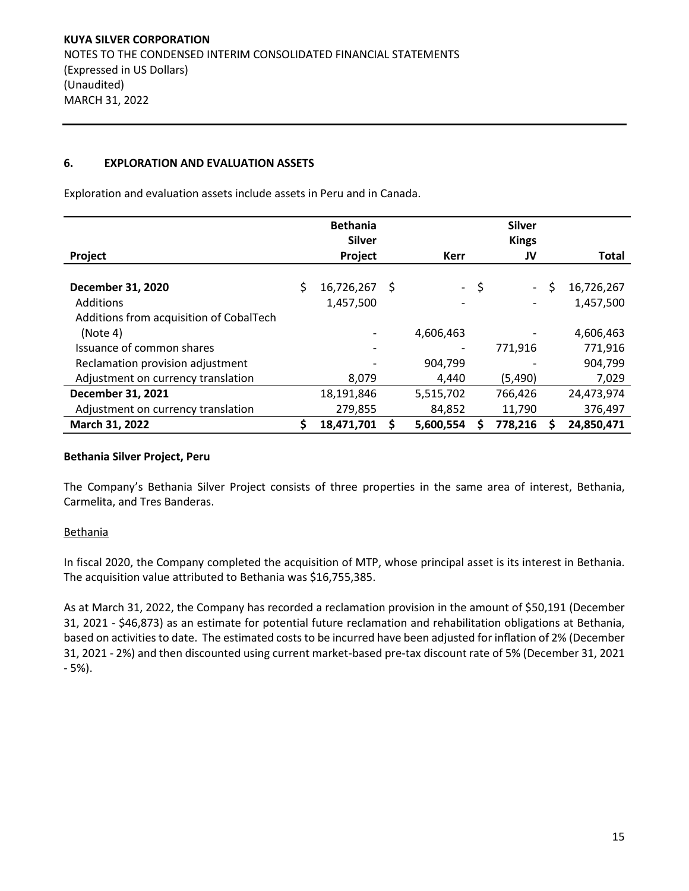## **6. EXPLORATION AND EVALUATION ASSETS**

Exploration and evaluation assets include assets in Peru and in Canada.

|                                         | <b>Bethania</b><br><b>Silver</b> |   |             |      | <b>Silver</b><br><b>Kings</b> |                  |
|-----------------------------------------|----------------------------------|---|-------------|------|-------------------------------|------------------|
| Project                                 | Project                          |   | <b>Kerr</b> |      | JV                            | <b>Total</b>     |
|                                         |                                  |   |             |      |                               |                  |
| <b>December 31, 2020</b>                | \$<br>16,726,267                 | S |             | - \$ | $\overline{a}$                | \$<br>16,726,267 |
| <b>Additions</b>                        | 1,457,500                        |   |             |      |                               | 1,457,500        |
| Additions from acquisition of CobalTech |                                  |   |             |      |                               |                  |
| (Note 4)                                |                                  |   | 4,606,463   |      |                               | 4,606,463        |
| Issuance of common shares               |                                  |   |             |      | 771,916                       | 771,916          |
| Reclamation provision adjustment        |                                  |   | 904,799     |      |                               | 904,799          |
| Adjustment on currency translation      | 8,079                            |   | 4,440       |      | (5,490)                       | 7,029            |
| December 31, 2021                       | 18,191,846                       |   | 5,515,702   |      | 766,426                       | 24,473,974       |
| Adjustment on currency translation      | 279,855                          |   | 84,852      |      | 11,790                        | 376,497          |
| March 31, 2022                          | 18,471,701                       |   | 5,600,554   |      | 778,216                       | 24,850,471       |

#### **Bethania Silver Project, Peru**

The Company's Bethania Silver Project consists of three properties in the same area of interest, Bethania, Carmelita, and Tres Banderas.

## **Bethania**

In fiscal 2020, the Company completed the acquisition of MTP, whose principal asset is its interest in Bethania. The acquisition value attributed to Bethania was \$16,755,385.

As at March 31, 2022, the Company has recorded a reclamation provision in the amount of \$50,191 (December 31, 2021 - \$46,873) as an estimate for potential future reclamation and rehabilitation obligations at Bethania, based on activities to date. The estimated costs to be incurred have been adjusted for inflation of 2% (December 31, 2021 - 2%) and then discounted using current market-based pre-tax discount rate of 5% (December 31, 2021 - 5%).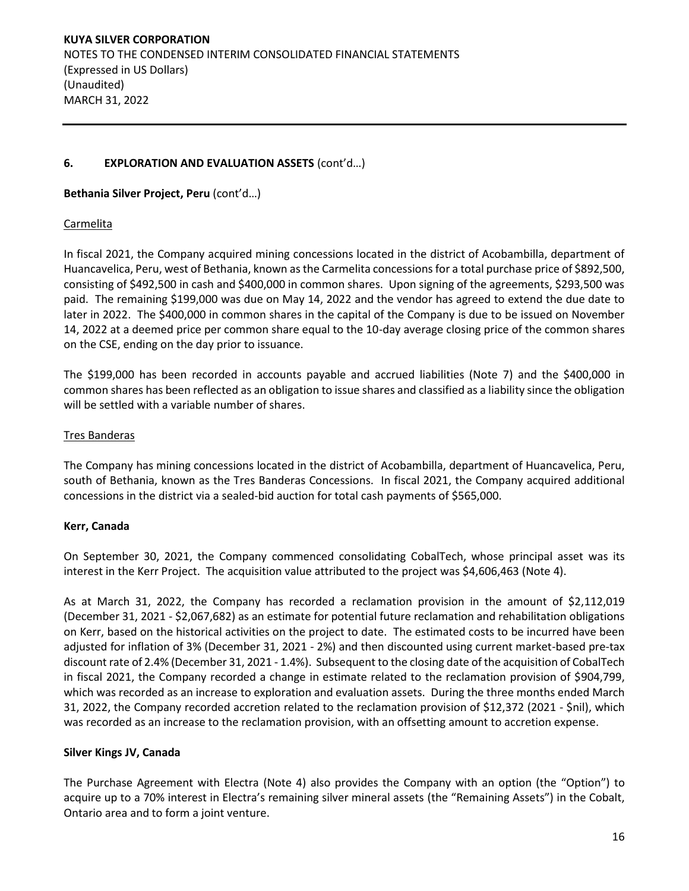# **6. EXPLORATION AND EVALUATION ASSETS** (cont'd…)

#### **Bethania Silver Project, Peru** (cont'd…)

#### Carmelita

In fiscal 2021, the Company acquired mining concessions located in the district of Acobambilla, department of Huancavelica, Peru, west of Bethania, known as the Carmelita concessions for a total purchase price of \$892,500, consisting of \$492,500 in cash and \$400,000 in common shares. Upon signing of the agreements, \$293,500 was paid. The remaining \$199,000 was due on May 14, 2022 and the vendor has agreed to extend the due date to later in 2022. The \$400,000 in common shares in the capital of the Company is due to be issued on November 14, 2022 at a deemed price per common share equal to the 10-day average closing price of the common shares on the CSE, ending on the day prior to issuance.

The \$199,000 has been recorded in accounts payable and accrued liabilities (Note 7) and the \$400,000 in common shares has been reflected as an obligation to issue shares and classified as a liability since the obligation will be settled with a variable number of shares.

## Tres Banderas

The Company has mining concessions located in the district of Acobambilla, department of Huancavelica, Peru, south of Bethania, known as the Tres Banderas Concessions. In fiscal 2021, the Company acquired additional concessions in the district via a sealed-bid auction for total cash payments of \$565,000.

## **Kerr, Canada**

On September 30, 2021, the Company commenced consolidating CobalTech, whose principal asset was its interest in the Kerr Project. The acquisition value attributed to the project was \$4,606,463 (Note 4).

As at March 31, 2022, the Company has recorded a reclamation provision in the amount of \$2,112,019 (December 31, 2021 - \$2,067,682) as an estimate for potential future reclamation and rehabilitation obligations on Kerr, based on the historical activities on the project to date. The estimated costs to be incurred have been adjusted for inflation of 3% (December 31, 2021 - 2%) and then discounted using current market-based pre-tax discount rate of 2.4% (December 31, 2021 - 1.4%). Subsequent to the closing date of the acquisition of CobalTech in fiscal 2021, the Company recorded a change in estimate related to the reclamation provision of \$904,799, which was recorded as an increase to exploration and evaluation assets. During the three months ended March 31, 2022, the Company recorded accretion related to the reclamation provision of \$12,372 (2021 - \$nil), which was recorded as an increase to the reclamation provision, with an offsetting amount to accretion expense.

## **Silver Kings JV, Canada**

The Purchase Agreement with Electra (Note 4) also provides the Company with an option (the "Option") to acquire up to a 70% interest in Electra's remaining silver mineral assets (the "Remaining Assets") in the Cobalt, Ontario area and to form a joint venture.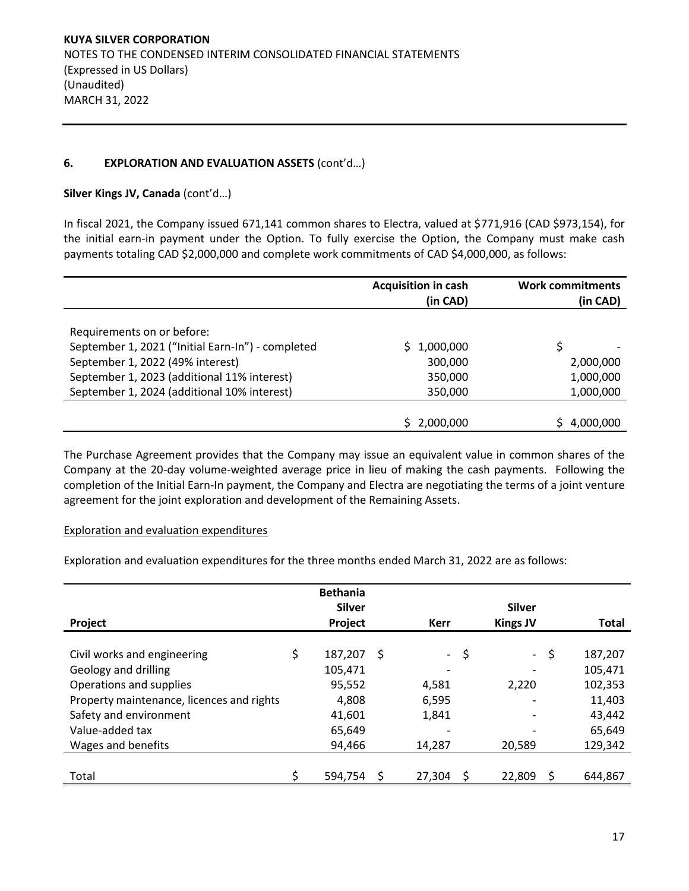# **6. EXPLORATION AND EVALUATION ASSETS** (cont'd…)

## **Silver Kings JV, Canada** (cont'd…)

In fiscal 2021, the Company issued 671,141 common shares to Electra, valued at \$771,916 (CAD \$973,154), for the initial earn-in payment under the Option. To fully exercise the Option, the Company must make cash payments totaling CAD \$2,000,000 and complete work commitments of CAD \$4,000,000, as follows:

|                                                   | <b>Acquisition in cash</b><br>(in CAD) | <b>Work commitments</b><br>(in CAD) |
|---------------------------------------------------|----------------------------------------|-------------------------------------|
| Requirements on or before:                        |                                        |                                     |
| September 1, 2021 ("Initial Earn-In") - completed | 1,000,000                              | Ś                                   |
| September 1, 2022 (49% interest)                  | 300,000                                | 2,000,000                           |
| September 1, 2023 (additional 11% interest)       | 350,000                                | 1,000,000                           |
| September 1, 2024 (additional 10% interest)       | 350,000                                | 1,000,000                           |
|                                                   |                                        |                                     |
|                                                   | 2,000,000                              | 4,000,000                           |

The Purchase Agreement provides that the Company may issue an equivalent value in common shares of the Company at the 20-day volume-weighted average price in lieu of making the cash payments. Following the completion of the Initial Earn-In payment, the Company and Electra are negotiating the terms of a joint venture agreement for the joint exploration and development of the Remaining Assets.

## Exploration and evaluation expenditures

Exploration and evaluation expenditures for the three months ended March 31, 2022 are as follows:

|                                           | <b>Bethania</b><br><b>Silver</b> |    |                     | <b>Silver</b>    |               |
|-------------------------------------------|----------------------------------|----|---------------------|------------------|---------------|
| Project                                   | Project                          |    | <b>Kerr</b>         | <b>Kings JV</b>  | <b>Total</b>  |
| Civil works and engineering               | \$<br>187,207                    | .S | $\omega_{\rm{max}}$ | \$<br>$\sim$ $-$ | \$<br>187,207 |
| Geology and drilling                      | 105,471                          |    |                     |                  | 105,471       |
| Operations and supplies                   | 95,552                           |    | 4,581               | 2,220            | 102,353       |
| Property maintenance, licences and rights | 4,808                            |    | 6,595               |                  | 11,403        |
| Safety and environment                    | 41,601                           |    | 1,841               |                  | 43,442        |
| Value-added tax                           | 65,649                           |    |                     |                  | 65,649        |
| Wages and benefits                        | 94,466                           |    | 14,287              | 20,589           | 129,342       |
|                                           |                                  |    |                     |                  |               |
| Total                                     | \$<br>594,754                    |    | 27,304              | 22,809           | 644,867       |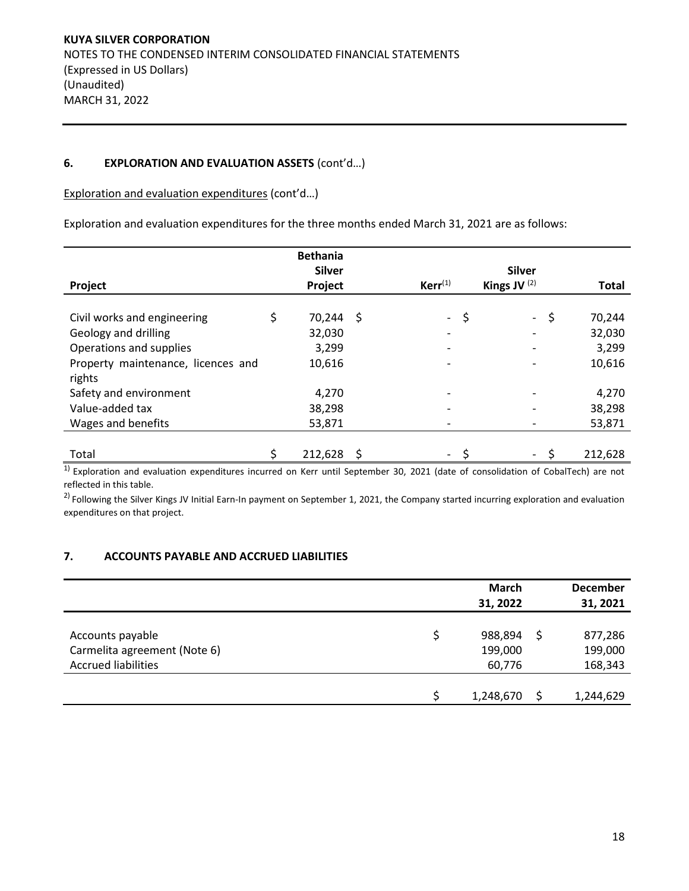## **6. EXPLORATION AND EVALUATION ASSETS** (cont'd…)

Exploration and evaluation expenditures (cont'd…)

Exploration and evaluation expenditures for the three months ended March 31, 2021 are as follows:

|                                    | <b>Bethania</b> |              |                |    |              |
|------------------------------------|-----------------|--------------|----------------|----|--------------|
|                                    | <b>Silver</b>   |              | <b>Silver</b>  |    |              |
| Project                            | Project         | $Kerr^{(1)}$ | Kings JV $(2)$ |    | <b>Total</b> |
|                                    |                 |              |                |    |              |
| Civil works and engineering        | 70,244 \$       | $\sim$       | \$<br>$\sim$   | \$ | 70,244       |
| Geology and drilling               | 32,030          |              |                |    | 32,030       |
| Operations and supplies            | 3,299           |              |                |    | 3,299        |
| Property maintenance, licences and | 10,616          |              |                |    | 10,616       |
| rights                             |                 |              |                |    |              |
| Safety and environment             | 4,270           |              |                |    | 4,270        |
| Value-added tax                    | 38,298          |              |                |    | 38,298       |
| Wages and benefits                 | 53,871          |              |                |    | 53,871       |
|                                    |                 |              |                |    |              |
| Total                              | 212,628         |              |                | ς  | 212,628      |

 $<sup>1</sup>$  Exploration and evaluation expenditures incurred on Kerr until September 30, 2021 (date of consolidation of CobalTech) are not</sup> reflected in this table.

 $2)$  Following the Silver Kings JV Initial Earn-In payment on September 1, 2021, the Company started incurring exploration and evaluation expenditures on that project.

## **7. ACCOUNTS PAYABLE AND ACCRUED LIABILITIES**

|                              | <b>March</b> | <b>December</b> |
|------------------------------|--------------|-----------------|
|                              | 31, 2022     | 31, 2021        |
|                              |              |                 |
| Accounts payable             | 988,894      | 877,286         |
| Carmelita agreement (Note 6) | 199,000      | 199,000         |
| <b>Accrued liabilities</b>   | 60,776       | 168,343         |
|                              |              |                 |
|                              | 1,248,670    | 1,244,629       |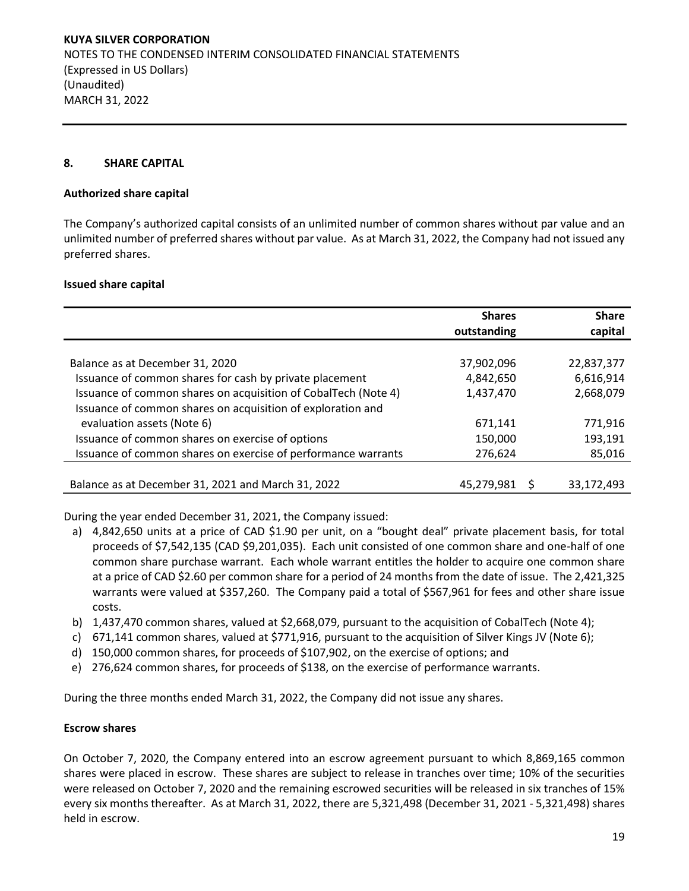#### **8. SHARE CAPITAL**

#### **Authorized share capital**

The Company's authorized capital consists of an unlimited number of common shares without par value and an unlimited number of preferred shares without par value. As at March 31, 2022, the Company had not issued any preferred shares.

#### **Issued share capital**

|                                                                | <b>Shares</b><br>outstanding | <b>Share</b><br>capital |
|----------------------------------------------------------------|------------------------------|-------------------------|
|                                                                |                              |                         |
| Balance as at December 31, 2020                                | 37,902,096                   | 22,837,377              |
| Issuance of common shares for cash by private placement        | 4,842,650                    | 6,616,914               |
| Issuance of common shares on acquisition of CobalTech (Note 4) | 1,437,470                    | 2,668,079               |
| Issuance of common shares on acquisition of exploration and    |                              |                         |
| evaluation assets (Note 6)                                     | 671,141                      | 771,916                 |
| Issuance of common shares on exercise of options               | 150,000                      | 193,191                 |
| Issuance of common shares on exercise of performance warrants  | 276,624                      | 85,016                  |
|                                                                |                              |                         |
| Balance as at December 31, 2021 and March 31, 2022             | 45,279,981                   | 33,172,493              |

During the year ended December 31, 2021, the Company issued:

- a) 4,842,650 units at a price of CAD \$1.90 per unit, on a "bought deal" private placement basis, for total proceeds of \$7,542,135 (CAD \$9,201,035). Each unit consisted of one common share and one-half of one common share purchase warrant. Each whole warrant entitles the holder to acquire one common share at a price of CAD \$2.60 per common share for a period of 24 months from the date of issue. The 2,421,325 warrants were valued at \$357,260. The Company paid a total of \$567,961 for fees and other share issue costs.
- b) 1,437,470 common shares, valued at \$2,668,079, pursuant to the acquisition of CobalTech (Note 4);
- c) 671,141 common shares, valued at \$771,916, pursuant to the acquisition of Silver Kings JV (Note 6);
- d) 150,000 common shares, for proceeds of \$107,902, on the exercise of options; and
- e) 276,624 common shares, for proceeds of \$138, on the exercise of performance warrants.

During the three months ended March 31, 2022, the Company did not issue any shares.

#### **Escrow shares**

On October 7, 2020, the Company entered into an escrow agreement pursuant to which 8,869,165 common shares were placed in escrow. These shares are subject to release in tranches over time; 10% of the securities were released on October 7, 2020 and the remaining escrowed securities will be released in six tranches of 15% every six months thereafter. As at March 31, 2022, there are 5,321,498 (December 31, 2021 - 5,321,498) shares held in escrow.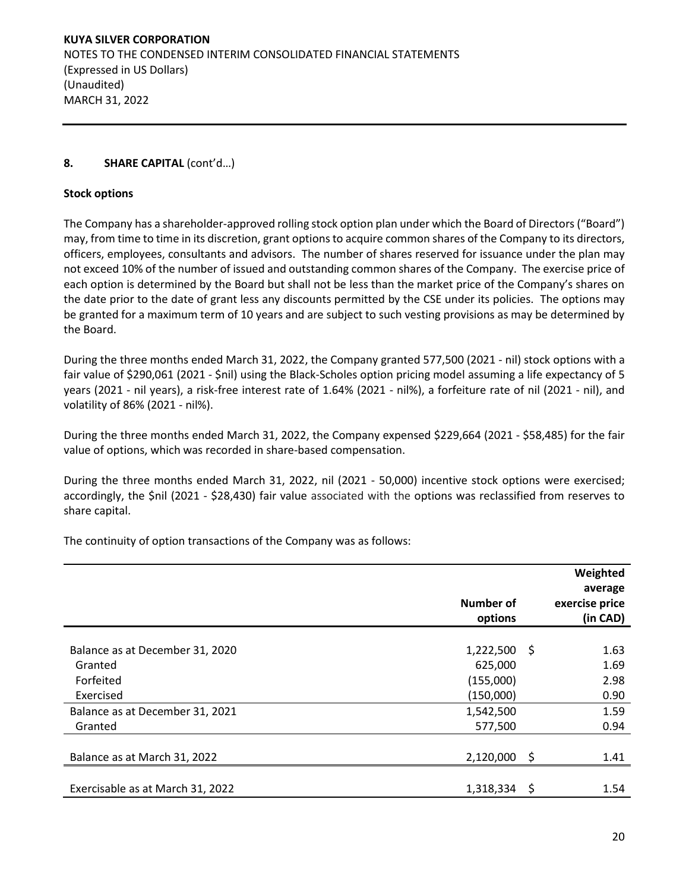# **8. SHARE CAPITAL** (cont'd…)

## **Stock options**

The Company has a shareholder-approved rolling stock option plan under which the Board of Directors ("Board") may, from time to time in its discretion, grant options to acquire common shares of the Company to its directors, officers, employees, consultants and advisors. The number of shares reserved for issuance under the plan may not exceed 10% of the number of issued and outstanding common shares of the Company. The exercise price of each option is determined by the Board but shall not be less than the market price of the Company's shares on the date prior to the date of grant less any discounts permitted by the CSE under its policies. The options may be granted for a maximum term of 10 years and are subject to such vesting provisions as may be determined by the Board.

During the three months ended March 31, 2022, the Company granted 577,500 (2021 - nil) stock options with a fair value of \$290,061 (2021 - \$nil) using the Black-Scholes option pricing model assuming a life expectancy of 5 years (2021 - nil years), a risk-free interest rate of 1.64% (2021 - nil%), a forfeiture rate of nil (2021 - nil), and volatility of 86% (2021 - nil%).

During the three months ended March 31, 2022, the Company expensed \$229,664 (2021 - \$58,485) for the fair value of options, which was recorded in share-based compensation.

During the three months ended March 31, 2022, nil (2021 - 50,000) incentive stock options were exercised; accordingly, the \$nil (2021 - \$28,430) fair value associated with the options was reclassified from reserves to share capital.

The continuity of option transactions of the Company was as follows:

|                                  | Number of<br>options |      | Weighted<br>average<br>exercise price<br>(in CAD) |
|----------------------------------|----------------------|------|---------------------------------------------------|
| Balance as at December 31, 2020  | 1,222,500            | - \$ | 1.63                                              |
| Granted                          | 625,000              |      | 1.69                                              |
| Forfeited                        | (155,000)            |      | 2.98                                              |
| Exercised                        | (150,000)            |      | 0.90                                              |
| Balance as at December 31, 2021  | 1,542,500            | -\$  | 1.59                                              |
| Granted                          | 577,500              |      | 0.94                                              |
| Balance as at March 31, 2022     | 2,120,000            |      | 1.41                                              |
| Exercisable as at March 31, 2022 | 1,318,334            | S    | 1.54                                              |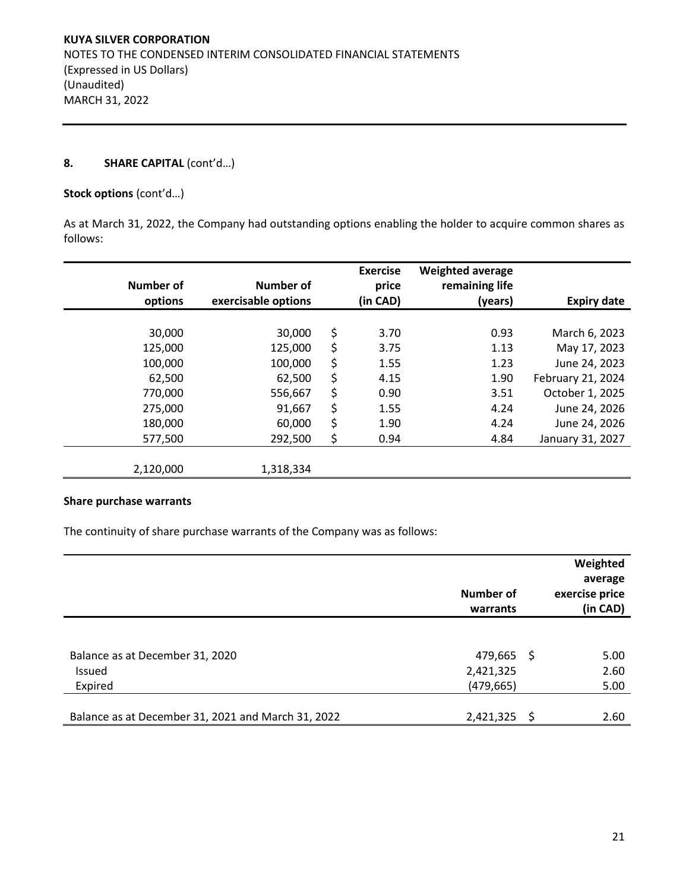## **8. SHARE CAPITAL** (cont'd…)

#### **Stock options** (cont'd…)

As at March 31, 2022, the Company had outstanding options enabling the holder to acquire common shares as follows:

| <b>Number of</b><br>options | <b>Number of</b><br>exercisable options | <b>Exercise</b><br>price<br>(in CAD) | <b>Weighted average</b><br>remaining life |                    |
|-----------------------------|-----------------------------------------|--------------------------------------|-------------------------------------------|--------------------|
|                             |                                         |                                      | (years)                                   | <b>Expiry date</b> |
| 30,000                      | 30,000                                  | \$<br>3.70                           | 0.93                                      | March 6, 2023      |
| 125,000                     | 125,000                                 | \$<br>3.75                           | 1.13                                      | May 17, 2023       |
| 100,000                     | 100,000                                 | \$<br>1.55                           | 1.23                                      | June 24, 2023      |
| 62,500                      | 62,500                                  | \$<br>4.15                           | 1.90                                      | February 21, 2024  |
| 770,000                     | 556,667                                 | \$<br>0.90                           | 3.51                                      | October 1, 2025    |
| 275,000                     | 91,667                                  | \$<br>1.55                           | 4.24                                      | June 24, 2026      |
| 180,000                     | 60,000                                  | \$<br>1.90                           | 4.24                                      | June 24, 2026      |
| 577,500                     | 292,500                                 | \$<br>0.94                           | 4.84                                      | January 31, 2027   |
|                             |                                         |                                      |                                           |                    |
| 2,120,000                   | 1,318,334                               |                                      |                                           |                    |

# **Share purchase warrants**

The continuity of share purchase warrants of the Company was as follows:

|                                                      | Number of<br>warrants                 |     | Weighted<br>average<br>exercise price<br>(in CAD) |
|------------------------------------------------------|---------------------------------------|-----|---------------------------------------------------|
| Balance as at December 31, 2020<br>Issued<br>Expired | 479,665 \$<br>2,421,325<br>(479, 665) |     | 5.00<br>2.60<br>5.00                              |
| Balance as at December 31, 2021 and March 31, 2022   | 2,421,325                             | -\$ | 2.60                                              |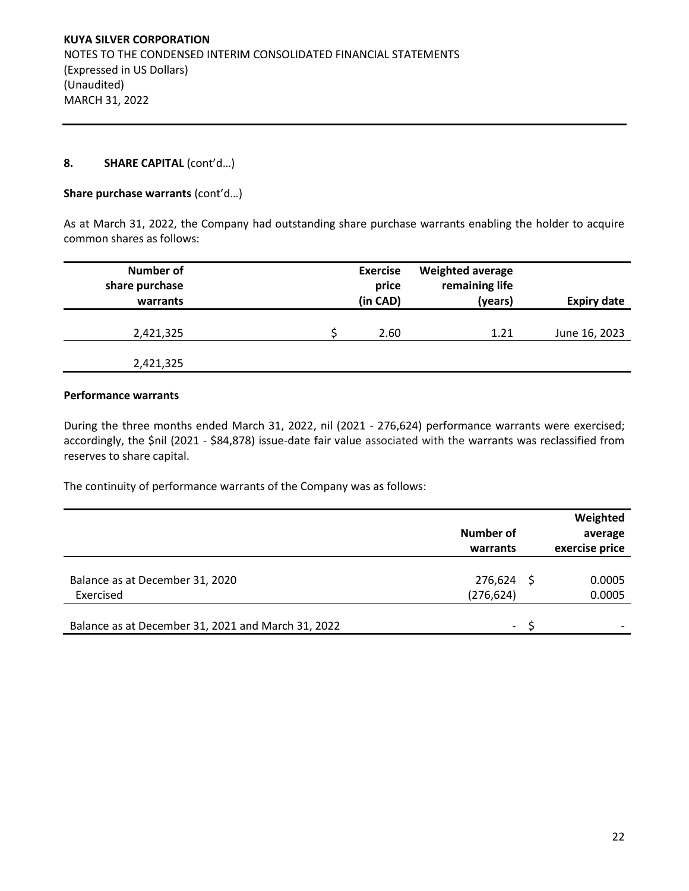## **8. SHARE CAPITAL** (cont'd…)

#### **Share purchase warrants** (cont'd…)

As at March 31, 2022, the Company had outstanding share purchase warrants enabling the holder to acquire common shares as follows:

| <b>Number of</b><br>share purchase<br>warrants | <b>Exercise</b><br>price<br>(in CAD) | <b>Weighted average</b><br>remaining life<br>(years) | <b>Expiry date</b> |
|------------------------------------------------|--------------------------------------|------------------------------------------------------|--------------------|
| 2,421,325                                      | 2.60                                 | 1.21                                                 | June 16, 2023      |
| 2,421,325                                      |                                      |                                                      |                    |

# **Performance warrants**

During the three months ended March 31, 2022, nil (2021 - 276,624) performance warrants were exercised; accordingly, the \$nil (2021 - \$84,878) issue-date fair value associated with the warrants was reclassified from reserves to share capital.

The continuity of performance warrants of the Company was as follows:

|                                                    | Number of<br>warrants    | Weighted<br>average<br>exercise price |
|----------------------------------------------------|--------------------------|---------------------------------------|
| Balance as at December 31, 2020<br>Exercised       | 276,624<br>(276, 624)    | 0.0005<br>0.0005                      |
| Balance as at December 31, 2021 and March 31, 2022 | $\overline{\phantom{a}}$ |                                       |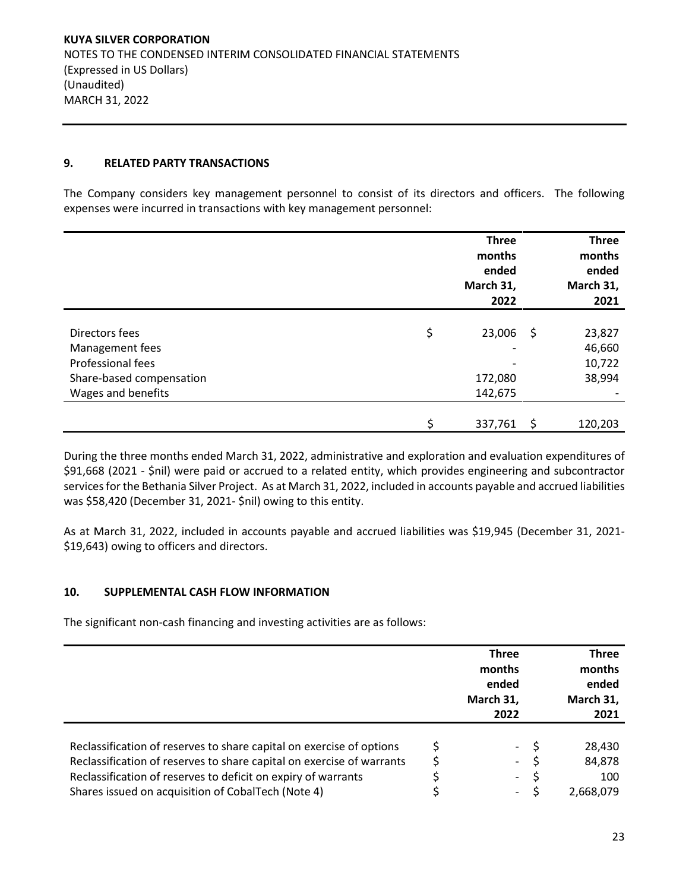#### **9. RELATED PARTY TRANSACTIONS**

The Company considers key management personnel to consist of its directors and officers. The following expenses were incurred in transactions with key management personnel:

|                          | <b>Three</b><br>months<br>ended<br>March 31,<br>2022 |      | <b>Three</b><br>months<br>ended<br>March 31,<br>2021 |
|--------------------------|------------------------------------------------------|------|------------------------------------------------------|
|                          |                                                      |      |                                                      |
| Directors fees           | \$<br>23,006                                         | - \$ | 23,827                                               |
| Management fees          |                                                      |      | 46,660                                               |
| Professional fees        |                                                      |      | 10,722                                               |
| Share-based compensation | 172,080                                              |      | 38,994                                               |
| Wages and benefits       | 142,675                                              |      |                                                      |
|                          |                                                      |      |                                                      |
|                          | \$<br>337,761                                        | S    | 120,203                                              |

During the three months ended March 31, 2022, administrative and exploration and evaluation expenditures of \$91,668 (2021 - \$nil) were paid or accrued to a related entity, which provides engineering and subcontractor services for the Bethania Silver Project. As at March 31, 2022, included in accounts payable and accrued liabilities was \$58,420 (December 31, 2021- \$nil) owing to this entity.

As at March 31, 2022, included in accounts payable and accrued liabilities was \$19,945 (December 31, 2021- \$19,643) owing to officers and directors.

## **10. SUPPLEMENTAL CASH FLOW INFORMATION**

The significant non-cash financing and investing activities are as follows:

|                                                                                                                                                                                                                | <b>Three</b><br>months<br>ended<br>March 31,<br>2022           | <b>Three</b><br>months<br>ended<br>March 31,<br>2021 |
|----------------------------------------------------------------------------------------------------------------------------------------------------------------------------------------------------------------|----------------------------------------------------------------|------------------------------------------------------|
| Reclassification of reserves to share capital on exercise of options<br>Reclassification of reserves to share capital on exercise of warrants<br>Reclassification of reserves to deficit on expiry of warrants | $\overline{\phantom{a}}$<br>$\sim$<br>$\overline{\phantom{0}}$ | 28,430<br>84,878<br>100                              |
| Shares issued on acquisition of CobalTech (Note 4)                                                                                                                                                             | $\sim$                                                         | 2,668,079                                            |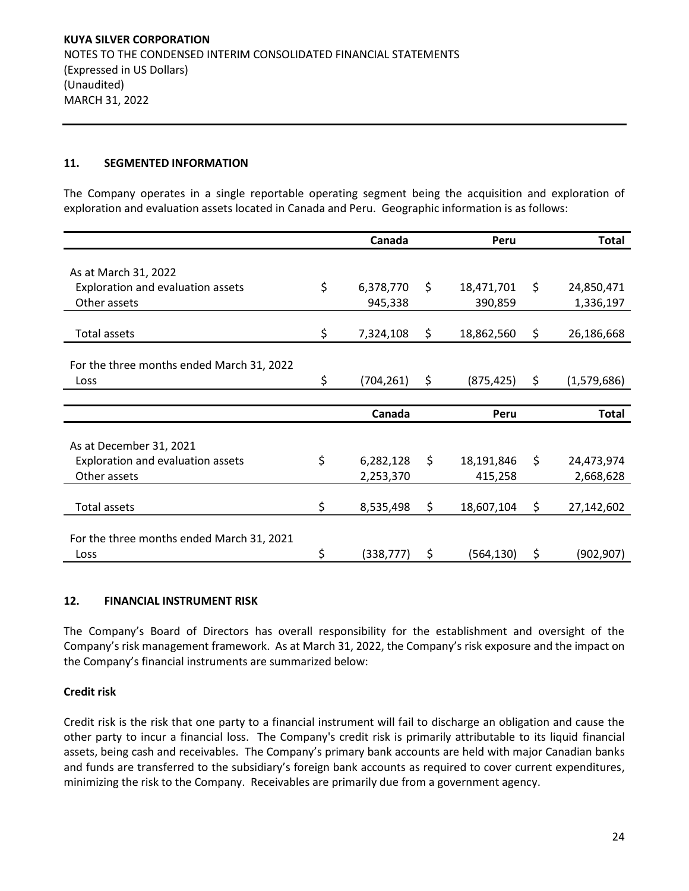#### **11. SEGMENTED INFORMATION**

The Company operates in a single reportable operating segment being the acquisition and exploration of exploration and evaluation assets located in Canada and Peru. Geographic information is as follows:

|                                           | Canada           | Peru             | <b>Total</b>      |
|-------------------------------------------|------------------|------------------|-------------------|
| As at March 31, 2022                      |                  |                  |                   |
| Exploration and evaluation assets         | \$<br>6,378,770  | \$<br>18,471,701 | \$<br>24,850,471  |
| Other assets                              | 945,338          | 390,859          | 1,336,197         |
|                                           |                  |                  |                   |
| <b>Total assets</b>                       | \$<br>7,324,108  | \$<br>18,862,560 | \$<br>26,186,668  |
|                                           |                  |                  |                   |
| For the three months ended March 31, 2022 |                  |                  |                   |
| Loss                                      | \$<br>(704, 261) | \$<br>(875, 425) | \$<br>(1,579,686) |
|                                           |                  |                  |                   |
|                                           | Canada           | Peru             | <b>Total</b>      |
|                                           |                  |                  |                   |
| As at December 31, 2021                   |                  |                  |                   |
|                                           |                  |                  |                   |
| Exploration and evaluation assets         | \$<br>6,282,128  | \$<br>18,191,846 | \$<br>24,473,974  |
| Other assets                              | 2,253,370        | 415,258          | 2,668,628         |
|                                           |                  |                  |                   |
| <b>Total assets</b>                       | \$<br>8,535,498  | \$<br>18,607,104 | \$<br>27,142,602  |
|                                           |                  |                  |                   |
| For the three months ended March 31, 2021 |                  |                  |                   |

## **12. FINANCIAL INSTRUMENT RISK**

The Company's Board of Directors has overall responsibility for the establishment and oversight of the Company's risk management framework. As at March 31, 2022, the Company's risk exposure and the impact on the Company's financial instruments are summarized below:

#### **Credit risk**

Credit risk is the risk that one party to a financial instrument will fail to discharge an obligation and cause the other party to incur a financial loss. The Company's credit risk is primarily attributable to its liquid financial assets, being cash and receivables. The Company's primary bank accounts are held with major Canadian banks and funds are transferred to the subsidiary's foreign bank accounts as required to cover current expenditures, minimizing the risk to the Company. Receivables are primarily due from a government agency.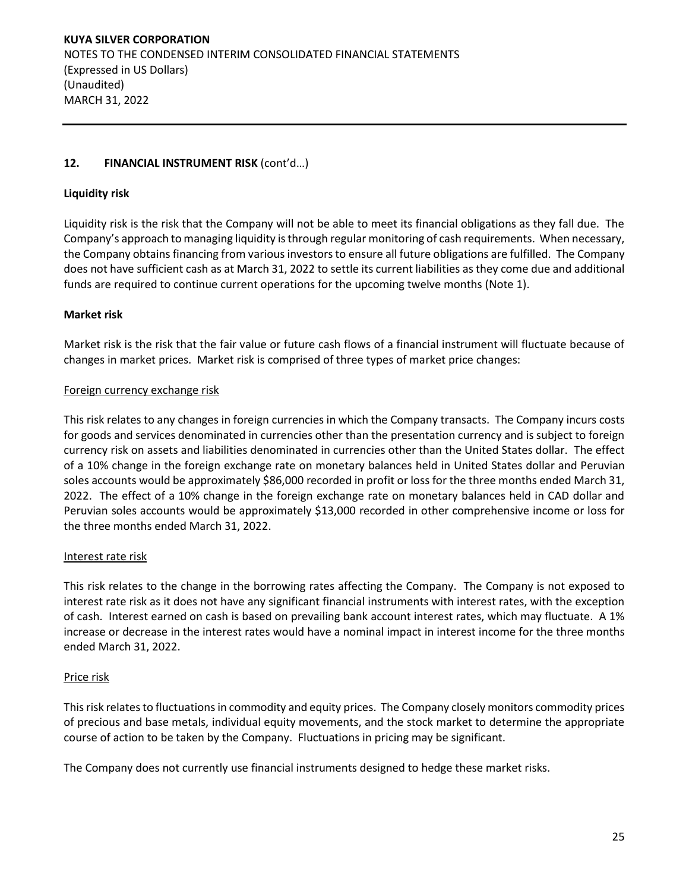# **12. FINANCIAL INSTRUMENT RISK** (cont'd…)

## **Liquidity risk**

Liquidity risk is the risk that the Company will not be able to meet its financial obligations as they fall due. The Company's approach to managing liquidity is through regular monitoring of cash requirements. When necessary, the Company obtains financing from various investors to ensure all future obligations are fulfilled. The Company does not have sufficient cash as at March 31, 2022 to settle its current liabilities as they come due and additional funds are required to continue current operations for the upcoming twelve months (Note 1).

# **Market risk**

Market risk is the risk that the fair value or future cash flows of a financial instrument will fluctuate because of changes in market prices. Market risk is comprised of three types of market price changes:

## Foreign currency exchange risk

This risk relates to any changes in foreign currencies in which the Company transacts. The Company incurs costs for goods and services denominated in currencies other than the presentation currency and is subject to foreign currency risk on assets and liabilities denominated in currencies other than the United States dollar. The effect of a 10% change in the foreign exchange rate on monetary balances held in United States dollar and Peruvian soles accounts would be approximately \$86,000 recorded in profit or loss for the three months ended March 31, 2022. The effect of a 10% change in the foreign exchange rate on monetary balances held in CAD dollar and Peruvian soles accounts would be approximately \$13,000 recorded in other comprehensive income or loss for the three months ended March 31, 2022.

## Interest rate risk

This risk relates to the change in the borrowing rates affecting the Company. The Company is not exposed to interest rate risk as it does not have any significant financial instruments with interest rates, with the exception of cash. Interest earned on cash is based on prevailing bank account interest rates, which may fluctuate. A 1% increase or decrease in the interest rates would have a nominal impact in interest income for the three months ended March 31, 2022.

## Price risk

This risk relates to fluctuations in commodity and equity prices. The Company closely monitors commodity prices of precious and base metals, individual equity movements, and the stock market to determine the appropriate course of action to be taken by the Company. Fluctuations in pricing may be significant.

The Company does not currently use financial instruments designed to hedge these market risks.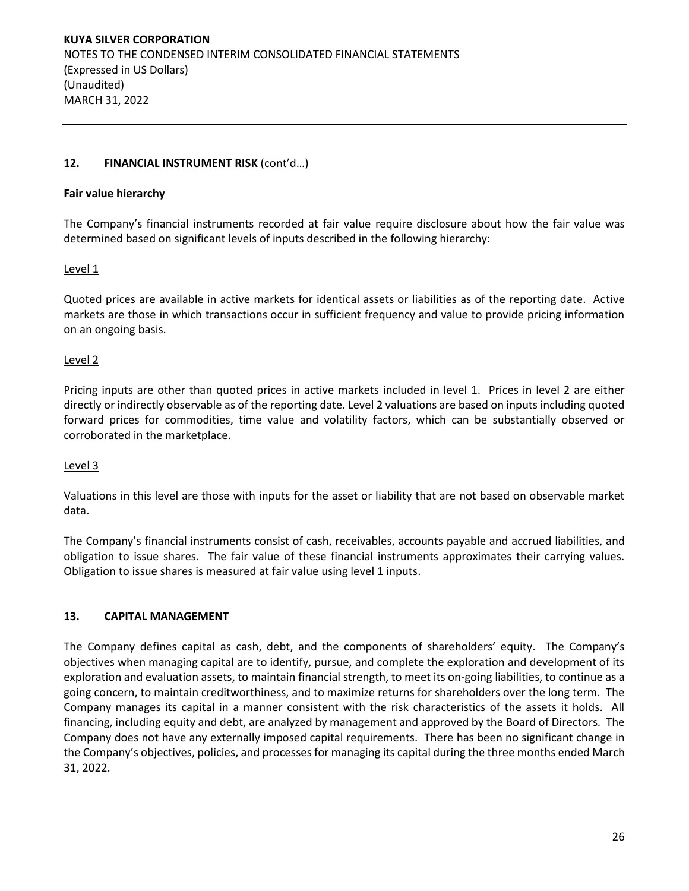## **12. FINANCIAL INSTRUMENT RISK** (cont'd…)

#### **Fair value hierarchy**

The Company's financial instruments recorded at fair value require disclosure about how the fair value was determined based on significant levels of inputs described in the following hierarchy:

## Level 1

Quoted prices are available in active markets for identical assets or liabilities as of the reporting date. Active markets are those in which transactions occur in sufficient frequency and value to provide pricing information on an ongoing basis.

## Level 2

Pricing inputs are other than quoted prices in active markets included in level 1. Prices in level 2 are either directly or indirectly observable as of the reporting date. Level 2 valuations are based on inputs including quoted forward prices for commodities, time value and volatility factors, which can be substantially observed or corroborated in the marketplace.

## Level 3

Valuations in this level are those with inputs for the asset or liability that are not based on observable market data.

The Company's financial instruments consist of cash, receivables, accounts payable and accrued liabilities, and obligation to issue shares. The fair value of these financial instruments approximates their carrying values. Obligation to issue shares is measured at fair value using level 1 inputs.

## **13. CAPITAL MANAGEMENT**

The Company defines capital as cash, debt, and the components of shareholders' equity. The Company's objectives when managing capital are to identify, pursue, and complete the exploration and development of its exploration and evaluation assets, to maintain financial strength, to meet its on-going liabilities, to continue as a going concern, to maintain creditworthiness, and to maximize returns for shareholders over the long term. The Company manages its capital in a manner consistent with the risk characteristics of the assets it holds. All financing, including equity and debt, are analyzed by management and approved by the Board of Directors. The Company does not have any externally imposed capital requirements. There has been no significant change in the Company's objectives, policies, and processes for managing its capital during the three months ended March 31, 2022.